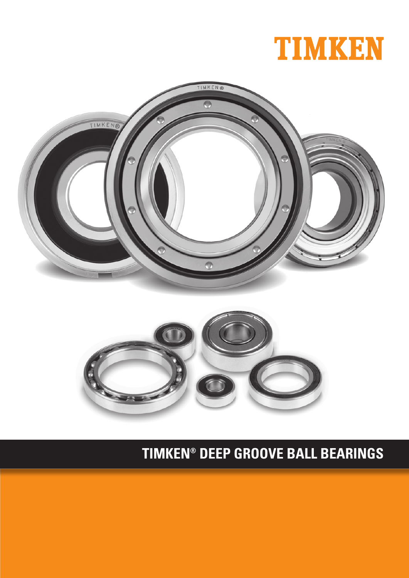# **TIMKEN® DEEP GROOVE BALL BEARINGS**



l



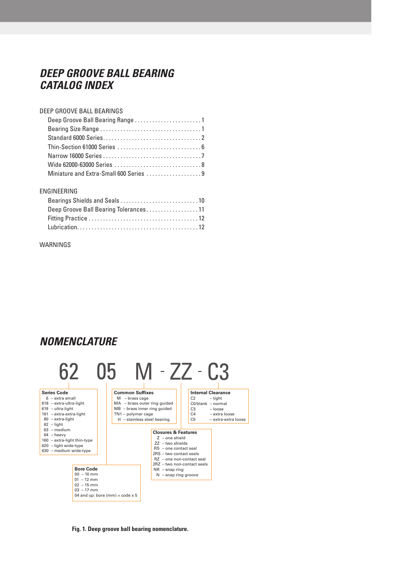### *DEEP GROOVE BALL BEARING CATALOG INDEX*

#### DEEP GROOVE BALL BEARINGS

| Deep Groove Ball Bearing Range 1       |
|----------------------------------------|
|                                        |
|                                        |
|                                        |
|                                        |
|                                        |
| Miniature and Extra-Small 600 Series 9 |

#### ENGINEERING

| Deep Groove Ball Bearing Tolerances11 |  |
|---------------------------------------|--|
|                                       |  |
|                                       |  |

#### WARNINGS

### *NOMENCLATURE*



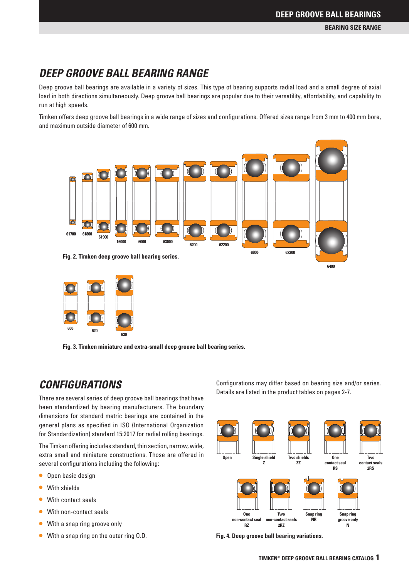**BEARING SIZE RANGE**

### *DEEP GROOVE BALL BEARING RANGE*

**2RS** <sup>B</sup> Rs min

**Snap ring**

**Snap ring** 

Deep groove ball bearings are available in a variety of sizes. This type of bearing supports radial load and a small degree of axial load in both directions simultaneously. Deep groove ball bearings are popular due to their versatility, affordability, and capability to run at high speeds.

Timken offers deep groove ball bearings in a wide range of sizes and configurations. Offered sizes range from 3 mm to 400 mm bore, and maximum outside diameter of 600 mm.





Fig. 3. Timken miniature and extra-small deep groove ball bearing series.

### *CONFIGURATIONS*

There are several series of deep groove ball bearings that have been standardized by bearing manufacturers. The boundary dimensions for standard metric bearings are contained in the general plans as specified in ISO (International Organization for Standardization) standard 15:2017 for radial rolling bearings.

The Timken offering includes standard, thin section, narrow, wide, extra small and miniature constructions. Those are offered in several configurations including the following:

- **Open basic design**
- With shields
- With contact seals
- With non-contact seals
- With a snap ring groove only
- • With a snap ring on the outer ring O.D.

Configurations may differ based on bearing size and/or series. Details are listed in the product tables on pages 2-7.



**Fig. 4. Deep groove ball bearing variations.**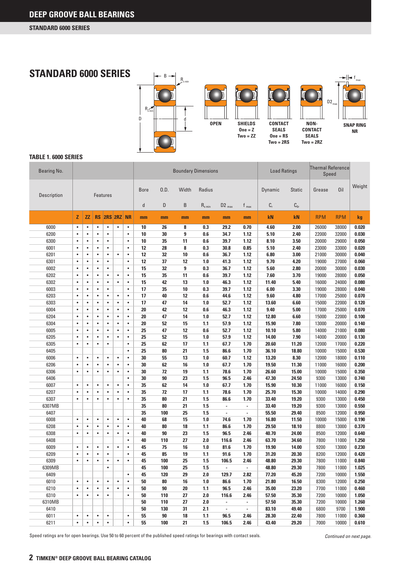

#### **TABLE 1. 6000 SERIES**

| Bearing No.        |           |                 |           |           |            | <b>Boundary Dimensions</b> |              |      |       |                               | <b>Load Ratings</b>      |                          | <b>Thermal Reference</b><br>Speed |               |            |            |        |
|--------------------|-----------|-----------------|-----------|-----------|------------|----------------------------|--------------|------|-------|-------------------------------|--------------------------|--------------------------|-----------------------------------|---------------|------------|------------|--------|
| <b>Description</b> |           | <b>Features</b> |           |           |            |                            | <b>Bore</b>  | 0.D. | Width | Radius                        |                          |                          | Dynamic                           | <b>Static</b> | Grease     | 0il        | Weight |
|                    |           |                 |           |           |            |                            | $\mathsf{d}$ | D    | B     | $\mathsf{R}_{\mathrm{s}\min}$ | $D2$ <sub>max</sub>      | $f_{max}$                | C,                                | $C_{0r}$      |            |            |        |
|                    | Z         | ΖZ              | <b>RS</b> |           | 2RS 2RZ NR |                            | mm           | mm   | mm    | mm                            | mm                       | mm                       | kN                                | kN            | <b>RPM</b> | <b>RPM</b> | kg     |
| 6000               | $\bullet$ | $\bullet$       | $\bullet$ | $\bullet$ | $\bullet$  | $\bullet$                  | 10           | 26   | 8     | 0.3                           | 29.2                     | 0.70                     | 4.60                              | 2.00          | 26000      | 38000      | 0.020  |
| 6200               | $\bullet$ | $\bullet$       | $\bullet$ | $\bullet$ |            | $\bullet$                  | 10           | 30   | 9     | 0.6                           | 34.7                     | 1.12                     | 5.10                              | 2.40          | 22000      | 32000      | 0.030  |
| 6300               | $\bullet$ | $\bullet$       | $\bullet$ | $\bullet$ |            | $\bullet$                  | 10           | 35   | 11    | 0.6                           | 39.7                     | 1.12                     | 8.10                              | 3.50          | 20000      | 29000      | 0.050  |
| 6001               | $\bullet$ | $\bullet$       | $\bullet$ | $\bullet$ |            | $\bullet$                  | 12           | 28   | 8     | 0.3                           | 30.8                     | 0.85                     | 5.10                              | 2.40          | 23000      | 33000      | 0.020  |
| 6201               | $\bullet$ | $\bullet$       | $\bullet$ | $\bullet$ | $\bullet$  | $\bullet$                  | 12           | 32   | 10    | 0.6                           | 36.7                     | 1.12                     | 6.80                              | 3.00          | 21000      | 30000      | 0.040  |
| 6301               | $\bullet$ | $\bullet$       | $\bullet$ | $\bullet$ |            | $\bullet$                  | 12           | 37   | 12    | 1.0                           | 41.3                     | 1.12                     | 9.70                              | 4.20          | 19000      | 27000      | 0.060  |
| 6002               | $\bullet$ | $\bullet$       | $\bullet$ | $\bullet$ |            | $\bullet$                  | 15           | 32   | 9     | 0.3                           | 36.7                     | 1.12                     | 5.60                              | 2.80          | 20000      | 30000      | 0.030  |
| 6202               | $\bullet$ | $\bullet$       | $\bullet$ | $\bullet$ | $\bullet$  | $\bullet$                  | 15           | 35   | 11    | 0.6                           | 39.7                     | 1.12                     | 7.60                              | 3.70          | 19000      | 28000      | 0.050  |
| 6302               | $\bullet$ | $\bullet$       | $\bullet$ | $\bullet$ | $\bullet$  | $\bullet$                  | 15           | 42   | 13    | 1.0                           | 46.3                     | 1.12                     | 11.40                             | 5.40          | 16000      | 24000      | 0.080  |
| 6003               | $\bullet$ | $\bullet$       | $\bullet$ | $\bullet$ |            | $\bullet$                  | 17           | 35   | 10    | 0.3                           | 39.7                     | 1.12                     | 6.00                              | 3.30          | 19000      | 28000      | 0.040  |
| 6203               | $\bullet$ | $\bullet$       | $\bullet$ | $\bullet$ | $\bullet$  | $\bullet$                  | 17           | 40   | 12    | 0.6                           | 44.6                     | 1.12                     | 9.60                              | 4.80          | 17000      | 25000      | 0.070  |
| 6303               | $\bullet$ | $\bullet$       | $\bullet$ | $\bullet$ | $\bullet$  | $\bullet$                  | 17           | 47   | 14    | 1.0                           | 52.7                     | 1.12                     | 13.60                             | 6.60          | 15000      | 22000      | 0.120  |
| 6004               | $\bullet$ | $\bullet$       | $\bullet$ | $\bullet$ | $\bullet$  | $\bullet$                  | 20           | 42   | 12    | 0.6                           | 46.3                     | 1.12                     | 9.40                              | 5.00          | 17000      | 25000      | 0.070  |
| 6204               | $\bullet$ | $\bullet$       | $\bullet$ | $\bullet$ | $\bullet$  | $\bullet$                  | 20           | 47   | 14    | 1.0                           | 52.7                     | 1.12                     | 12.80                             | 6.60          | 15000      | 22000      | 0.100  |
| 6304               | $\bullet$ | $\bullet$       | $\bullet$ | $\bullet$ | $\bullet$  | $\bullet$                  | 20           | 52   | 15    | 1.1                           | 57.9                     | 1.12                     | 15.90                             | 7.80          | 13000      | 20000      | 0.140  |
| 6005               | $\bullet$ | $\bullet$       | $\bullet$ | $\bullet$ | $\bullet$  | $\bullet$                  | 25           | 47   | 12    | 0.6                           | 52.7                     | 1.12                     | 10.10                             | 5.80          | 14000      | 21000      | 0.080  |
| 6205               | $\bullet$ | $\bullet$       | $\bullet$ | $\bullet$ | $\bullet$  | $\bullet$                  | 25           | 52   | 15    | 1.0                           | 57.9                     | 1.12                     | 14.00                             | 7.90          | 14000      | 20000      | 0.130  |
| 6305               | $\bullet$ | $\bullet$       | $\bullet$ | $\bullet$ |            | $\bullet$                  | 25           | 62   | 17    | 1.1                           | 67.7                     | 1.70                     | 20.60                             | 11.20         | 12000      | 17000      | 0.220  |
| 6405               |           |                 |           |           |            | $\bullet$                  | 25           | 80   | 21    | 1.5                           | 86.6                     | 1.70                     | 36.10                             | 18.80         | 10000      | 15000      | 0.530  |
| 6006               | $\bullet$ | $\bullet$       | $\bullet$ | $\bullet$ | $\bullet$  | $\bullet$                  | 30           | 55   | 13    | 1.0                           | 60.7                     | 1.12                     | 13.20                             | 8.30          | 12000      | 18000      | 0.110  |
| 6206               | $\bullet$ | $\bullet$       | $\bullet$ | $\bullet$ | $\bullet$  | $\bullet$                  | 30           | 62   | 16    | 1.0                           | 67.7                     | 1.70                     | 19.50                             | 11.30         | 11000      | 16000      | 0.200  |
| 6306               | $\bullet$ | $\bullet$       | $\bullet$ | $\bullet$ | $\bullet$  | $\bullet$                  | 30           | 72   | 19    | 1.1                           | 78.6                     | 1.70                     | 26.60                             | 15.00         | 10000      | 15000      | 0.350  |
| 6406               |           |                 |           |           |            | $\bullet$                  | 30           | 90   | 23    | 1.5                           | 96.5                     | 2.46                     | 47.30                             | 24.50         | 9300       | 13000      | 0.740  |
| 6007               | $\bullet$ | $\bullet$       | $\bullet$ | $\bullet$ | $\bullet$  | $\bullet$                  | 35           | 62   | 14    | 1.0                           | 67.7                     | 1.70                     | 15.90                             | 10.30         | 11000      | 16000      | 0.150  |
| 6207               | $\bullet$ | $\bullet$       | $\bullet$ | $\bullet$ | $\bullet$  | $\bullet$                  | 35           | 72   | 17    | 1.1                           | 78.6                     | 1.70                     | 25.70                             | 15.30         | 10000      | 14000      | 0.290  |
| 6307               | $\bullet$ | $\bullet$       | $\bullet$ | $\bullet$ | $\bullet$  | $\bullet$                  | 35           | 80   | 21    | 1.5                           | 86.6                     | 1.70                     | 33.40                             | 19.20         | 9300       | 13000      | 0.450  |
| 6307MB             |           |                 |           |           |            |                            | 35           | 80   | 21    | 1.5                           | $\overline{a}$           |                          | 33.40                             | 19.20         | 9300       | 13000      | 0.550  |
| 6407               |           |                 |           |           |            |                            | 35           | 100  | 25    | 1.5                           | $\blacksquare$           | $\blacksquare$           | 55.50                             | 29.40         | 8500       | 12000      | 0.950  |
| 6008               | $\bullet$ | $\bullet$       | $\bullet$ | $\bullet$ | $\bullet$  | $\bullet$                  | 40           | 68   | 15    | 1.0                           | 74.6                     | 1.70                     | 16.80                             | 11.50         | 10000      | 15000      | 0.190  |
| 6208               | $\bullet$ | $\bullet$       | $\bullet$ | $\bullet$ | $\bullet$  | $\bullet$                  | 40           | 80   | 18    | 1.1                           | 86.6                     | 1.70                     | 29.50                             | 18.10         | 8800       | 13000      | 0.370  |
| 6308               | $\bullet$ | $\bullet$       | $\bullet$ | $\bullet$ | $\bullet$  | $\bullet$                  | 40           | 90   | 23    | 1.5                           | 96.5                     | 2.46                     | 40.70                             | 24.00         | 8500       | 12000      | 0.640  |
| 6408               |           |                 |           |           |            | $\bullet$                  | 40           | 110  | 27    | 2.0                           | 116.6                    | 2.46                     | 63.70                             | 34.60         | 7800       | 11000      | 1.250  |
| 6009               | $\bullet$ | $\bullet$       | $\bullet$ | $\bullet$ | $\bullet$  | $\bullet$                  | 45           | 75   | 16    | 1.0                           | 81.6                     | 1.70                     | 19.90                             | 14.00         | 9200       | 13000      | 0.230  |
| 6209               | $\bullet$ | $\bullet$       | $\bullet$ | $\bullet$ |            | $\bullet$                  | 45           | 85   | 19    | 1.1                           | 91.6                     | 1.70                     | 31.20                             | 20.30         | 8200       | 12000      | 0.420  |
| 6309               | $\bullet$ | $\bullet$       | $\bullet$ | $\bullet$ | $\bullet$  | $\bullet$                  | 45           | 100  | 25    | 1.5                           | 106.5                    | 2.46                     | 48.80                             | 29.30         | 7800       | 11000      | 0.840  |
| 6309MB             |           |                 |           | $\bullet$ |            |                            | 45           | 100  | 25    | 1.5                           | ٠                        |                          | 48.80                             | 29.30         | 7800       | 11000      | 1.025  |
| 6409               |           |                 |           |           |            | $\bullet$                  | 45           | 120  | 29    | 2.0                           | 129.7                    | 2.82                     | 77.20                             | 45.20         | 7200       | 10000      | 1.550  |
| 6010               | $\bullet$ | $\bullet$       | $\bullet$ | $\bullet$ | $\bullet$  | $\bullet$                  | 50           | 80   | 16    | 1.0                           | 86.6                     | 1.70                     | 21.80                             | 16.50         | 8300       | 12000      | 0.250  |
| 6210               | $\bullet$ | $\bullet$       | $\bullet$ | $\bullet$ | $\bullet$  | $\bullet$                  | 50           | 90   | 20    | $1.1$                         | 96.5                     | 2.46                     | 35.00                             | 23.20         | 7700       | 11000      | 0.460  |
| 6310               | $\bullet$ | $\bullet$       | $\bullet$ | $\bullet$ |            | $\bullet$                  | 50           | 110  | 27    | 2.0                           | 116.6                    | 2.46                     | 57.50                             | 35.30         | 7200       | 10000      | 1.050  |
| 6310MB             |           |                 |           |           |            |                            | 50           | 110  | 27    | 2.0                           | $\overline{\phantom{a}}$ | $\blacksquare$           | 57.50                             | 35.30         | 7200       | 10000      | 1.260  |
| 6410               |           |                 |           |           |            |                            | 50           | 130  | 31    | 2.1                           | $\overline{\phantom{a}}$ | $\overline{\phantom{a}}$ | 83.10                             | 49.40         | 6800       | 9700       | 1.900  |
| 6011               | $\bullet$ | $\bullet$       | $\bullet$ | $\bullet$ |            | $\bullet$                  | 55           | 90   | 18    | 1.1                           | 96.5                     | 2.46                     | 28.30                             | 22.40         | 7800       | 11000      | 0.360  |
| 6211               | $\bullet$ | $\bullet$       | $\bullet$ | $\bullet$ |            | $\bullet$                  | 55           | 100  | 21    | 1.5                           | 106.5                    | 2.46                     | 43.40                             | 29.20         | 7000       | 10000      | 0.610  |
|                    |           |                 |           |           |            |                            |              |      |       |                               |                          |                          |                                   |               |            |            |        |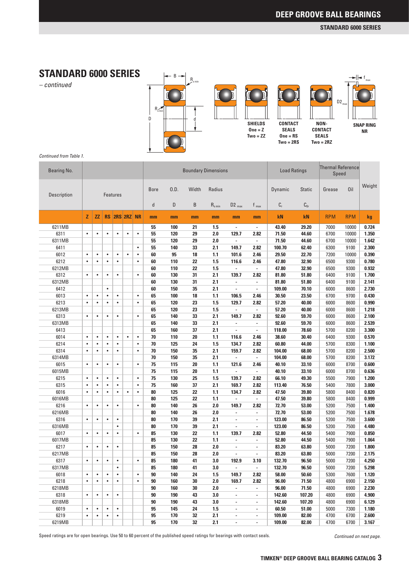**SNAP RING NR**

f max

### **STANDARD 6000 SERIES**

*– continued*



*Continued from Table 1.*

| Bearing No. |           |                                  |           |             | <b>Boundary Dimensions</b> |           |        |     | <b>Load Ratings</b> |             | <b>Thermal Reference</b><br>Speed |                          |                |          |            |            |       |
|-------------|-----------|----------------------------------|-----------|-------------|----------------------------|-----------|--------|-----|---------------------|-------------|-----------------------------------|--------------------------|----------------|----------|------------|------------|-------|
| Description |           | <b>Features</b><br>RS 2RS 2RZ NR |           | <b>Bore</b> | 0.D.                       | Width     | Radius |     |                     | Dynamic     | <b>Static</b>                     | Grease                   | Oil            | Weight   |            |            |       |
|             |           |                                  |           |             |                            |           | d      | D   | B                   | $R_{s min}$ | $D2_{max}$                        | $f_{max}$                | $\mathbb{C}_r$ | $C_{0r}$ |            |            |       |
|             | z         | ZZ.                              |           |             |                            |           | mm     | mm  | mm                  | mm          | mm                                | mm                       | kN             | kN       | <b>RPM</b> | <b>RPM</b> | kg    |
| 6211MB      |           |                                  |           |             |                            |           | 55     | 100 | 21                  | 1.5         | $\overline{\phantom{a}}$          | $\overline{\phantom{a}}$ | 43.40          | 29.20    | 7000       | 10000      | 0.724 |
| 6311        | $\bullet$ | $\bullet$                        | $\bullet$ | $\bullet$   | $\bullet$                  | $\bullet$ | 55     | 120 | 29                  | 2.0         | 129.7                             | 2.82                     | 71.50          | 44.60    | 6700       | 10000      | 1.350 |
| 6311MB      |           |                                  |           |             |                            |           | 55     | 120 | 29                  | 2.0         | $\overline{\phantom{a}}$          | $\overline{\phantom{a}}$ | 71.50          | 44.60    | 6700       | 10000      | 1.642 |
| 6411        |           |                                  |           |             |                            | $\bullet$ | 55     | 140 | 33                  | 2.1         | 149.7                             | 2.82                     | 100.70         | 62.40    | 6300       | 9100       | 2.300 |
| 6012        | $\bullet$ | $\bullet$                        | $\bullet$ | $\bullet$   | $\bullet$                  | $\bullet$ | 60     | 95  | 18                  | 1.1         | 101.6                             | 2.46                     | 29.50          | 22.70    | 7200       | 10000      | 0.390 |
| 6212        | $\bullet$ | $\bullet$                        | $\bullet$ | $\bullet$   |                            | $\bullet$ | 60     | 110 | 22                  | 1.5         | 116.6                             | 2.46                     | 47.80          | 32.90    | 6500       | 9300       | 0.780 |
| 6212MB      |           |                                  |           |             |                            |           | 60     | 110 | 22                  | 1.5         | $\blacksquare$                    | $\overline{\phantom{a}}$ | 47.80          | 32.90    | 6500       | 9300       | 0.932 |
| 6312        | $\bullet$ | $\bullet$                        | $\bullet$ | $\bullet$   |                            | $\bullet$ | 60     | 130 | 31                  | 2.1         | 139.7                             | 2.82                     | 81.80          | 51.80    | 6400       | 9100       | 1.700 |
| 6312MB      |           |                                  |           |             |                            |           | 60     | 130 | 31                  | 2.1         | $\overline{\phantom{a}}$          | $\overline{\phantom{a}}$ | 81.80          | 51.80    | 6400       | 9100       | 2.141 |
| 6412        |           |                                  | $\bullet$ |             |                            |           | 60     | 150 | 35                  | 2.1         | $\overline{\phantom{a}}$          | $\blacksquare$           | 109.00         | 70.10    | 6000       | 8600       | 2.730 |
| 6013        | $\bullet$ | $\bullet$                        | $\bullet$ | $\bullet$   |                            | $\bullet$ | 65     | 100 | 18                  | 1.1         | 106.5                             | 2.46                     | 30.50          | 23.50    | 6700       | 9700       | 0.430 |
| 6213        | $\bullet$ | $\bullet$                        | $\bullet$ | $\bullet$   |                            | $\bullet$ | 65     | 120 | 23                  | 1.5         | 129.7                             | 2.82                     | 57.20          | 40.00    | 6000       | 8600       | 0.990 |
| 6213MB      |           |                                  |           |             |                            |           | 65     | 120 | 23                  | 1.5         | $\blacksquare$                    | $\blacksquare$           | 57.20          | 40.00    | 6000       | 8600       | 1.218 |
| 6313        | $\bullet$ | $\bullet$                        | $\bullet$ | $\bullet$   |                            | $\bullet$ | 65     | 140 | 33                  | 2.1         | 149.7                             | 2.82                     | 92.60          | 59.70    | 6000       | 8600       | 2.100 |
| 6313MB      |           |                                  |           |             |                            |           | 65     | 140 | 33                  | 2.1         | $\overline{\phantom{a}}$          | $\overline{\phantom{a}}$ | 92.60          | 59.70    | 6000       | 8600       | 2.539 |
| 6413        |           |                                  |           |             |                            |           | 65     | 160 | 37                  | 2.1         | $\overline{\phantom{a}}$          | $\overline{\phantom{a}}$ | 118.00         | 78.60    | 5700       | 8200       | 3.300 |
| 6014        | $\bullet$ | $\bullet$                        | $\bullet$ | $\bullet$   | $\bullet$                  | $\bullet$ | 70     | 110 | 20                  | 1.1         | 116.6                             | 2.46                     | 38.60          | 30.40    | 6400       | 9300       | 0.570 |
| 6214        | $\bullet$ | $\bullet$                        | $\bullet$ | $\bullet$   |                            | $\bullet$ | 70     | 125 | 24                  | 1.5         | 134.7                             | 2.82                     | 60.80          | 44.00    | 5700       | 8300       | 1.100 |
| 6314        | $\bullet$ | $\bullet$                        | $\bullet$ | $\bullet$   |                            | $\bullet$ | 70     | 150 | 35                  | 2.1         | 159.7                             | 2.82                     | 104.00         | 68.00    | 5700       | 8200       | 2.500 |
| 6314MB      |           |                                  |           |             |                            |           | 70     | 150 | 35                  | 2.1         | ÷,                                | $\blacksquare$           | 104.00         | 68.00    | 5700       | 8200       | 3.172 |
| 6015        | $\bullet$ | $\bullet$                        | $\bullet$ | $\bullet$   |                            | $\bullet$ | 75     | 115 | 20                  | 1.1         | 121.6                             | 2.46                     | 40.10          | 33.10    | 6000       | 8700       | 0.600 |
| 6015MB      |           |                                  |           |             |                            |           | 75     | 115 | 20                  | $1.1$       | $\blacksquare$                    | $\blacksquare$           | 40.10          | 33.10    | 6000       | 8700       | 0.636 |
| 6215        | $\bullet$ | $\bullet$                        | $\bullet$ | $\bullet$   |                            | $\bullet$ | 75     | 130 | 25                  | 1.5         | 139.7                             | 2.82                     | 66.10          | 49.30    | 5500       | 7900       | 1.200 |
| 6315        | $\bullet$ | $\bullet$                        | $\bullet$ | $\bullet$   |                            | $\bullet$ | 75     | 160 | 37                  | 2.1         | 169.7                             | 2.82                     | 113.40         | 76.50    | 5400       | 7800       | 3.000 |
| 6016        | $\bullet$ | $\bullet$                        | $\bullet$ | $\bullet$   | $\bullet$                  | $\bullet$ | 80     | 125 | 22                  | 1.1         | 134.7                             | 2.82                     | 47.50          | 39.80    | 5800       | 8400       | 0.820 |
| 6016MB      |           |                                  |           |             |                            |           | 80     | 125 | 22                  | 1.1         | ÷,                                | $\blacksquare$           | 47.50          | 39.80    | 5800       | 8400       | 0.999 |
| 6216        | $\bullet$ | $\bullet$                        | $\bullet$ | $\bullet$   |                            | $\bullet$ | 80     | 140 | 26                  | 2.0         | 149.7                             | 2.82                     | 72.70          | 53.00    | 5200       | 7500       | 1.400 |
| 6216MB      |           |                                  |           |             |                            |           | 80     | 140 | 26                  | 2.0         | $\blacksquare$                    | $\overline{\phantom{a}}$ | 72.70          | 53.00    | 5200       | 7500       | 1.678 |
| 6316        | $\bullet$ | $\bullet$                        | $\bullet$ | $\bullet$   |                            |           | 80     | 170 | 39                  | 2.1         | ÷,                                | $\overline{\phantom{a}}$ | 123.00         | 86.50    | 5200       | 7500       | 3.600 |
| 6316MB      |           |                                  |           | $\bullet$   |                            |           | 80     | 170 | 39                  | 2.1         | ÷,                                | $\overline{\phantom{a}}$ | 123.00         | 86.50    | 5200       | 7500       | 4.480 |
| 6017        | $\bullet$ | $\bullet$                        | $\bullet$ | $\bullet$   |                            | $\bullet$ | 85     | 130 | 22                  | 1.1         | 139.7                             | 2.82                     | 52.80          | 44.50    | 5400       | 7900       | 0.850 |
| 6017MB      |           |                                  |           |             |                            |           | 85     | 130 | 22                  | 1.1         | ÷,                                | ä,                       | 52.80          | 44.50    | 5400       | 7900       | 1.064 |
| 6217        | $\bullet$ | $\bullet$                        | $\bullet$ | $\bullet$   |                            |           | 85     | 150 | 28                  | 2.0         | ×,                                | $\overline{\phantom{a}}$ | 83.20          | 63.80    | 5000       | 7200       | 1.800 |
| 6217MB      |           |                                  |           |             |                            |           | 85     | 150 | 28                  | 2.0         | $\overline{\phantom{a}}$          | $\overline{\phantom{a}}$ | 83.20          | 63.80    | 5000       | 7200       | 2.175 |
| 6317        | $\bullet$ | $\bullet$                        | $\bullet$ | $\bullet$   |                            | $\bullet$ | 85     | 180 | 41                  | 3.0         | 192.9                             | 3.10                     | 132.70         | 96.50    | 5000       | 7200       | 4.250 |
| 6317MB      |           |                                  |           | $\bullet$   |                            |           | 85     | 180 | 41                  | 3.0         | $\overline{a}$                    |                          | 132.70         | 96.50    | 5000       | 7200       | 5.298 |
| 6018        | $\bullet$ | $\bullet$                        | $\bullet$ | $\bullet$   |                            | $\bullet$ | 90     | 140 | 24                  | 1.5         | 149.7                             | 2.82                     | 58.00          | 50.60    | 5300       | 7600       | 1.120 |
| 6218        | $\bullet$ | $\bullet$                        | $\bullet$ | $\bullet$   |                            | $\bullet$ | 90     | 160 | 30                  | 2.0         | 169.7                             | 2.82                     | 96.00          | 71.50    | 4800       | 6900       | 2.150 |
| 6218MB      |           |                                  |           |             |                            |           | 90     | 160 | 30                  | 2.0         | $\overline{\phantom{a}}$          | ٠                        | 96.00          | 71.50    | 4800       | 6900       | 2.230 |
| 6318        | $\bullet$ | $\bullet$                        | $\bullet$ | $\bullet$   |                            |           | 90     | 190 | 43                  | 3.0         | $\blacksquare$                    | $\overline{\phantom{a}}$ | 142.60         | 107.20   | 4800       | 6900       | 4.900 |
| 6318MB      |           |                                  |           |             |                            |           | 90     | 190 | 43                  | 3.0         | ×,                                | $\overline{\phantom{a}}$ | 142.60         | 107.20   | 4800       | 6900       | 6.129 |
| 6019        | $\bullet$ | $\bullet$                        | $\bullet$ | $\bullet$   |                            |           | 95     | 145 | 24                  | 1.5         | $\overline{\phantom{a}}$          | $\overline{\phantom{a}}$ | 60.50          | 51.00    | 5000       | 7300       | 1.180 |
| 6219        | $\bullet$ | $\bullet$                        | $\bullet$ | $\bullet$   |                            |           | 95     | 170 | 32                  | 2.1         | ×,                                | $\overline{\phantom{a}}$ | 109.00         | 82.00    | 4700       | 6700       | 2.600 |
| 6219MB      |           |                                  |           |             |                            |           | 95     | 170 | 32                  | 2.1         | $\overline{\phantom{a}}$          | $\overline{\phantom{a}}$ | 109.00         | 82.00    | 4700       | 6700       | 3.167 |
|             |           |                                  |           |             |                            |           |        |     |                     |             |                                   |                          |                |          |            |            |       |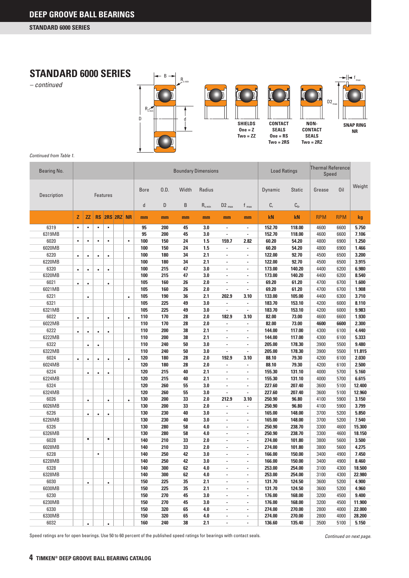

*Continued from Table 1.*

| Bearing No. |           |                |           |                 |            |           |             |      | <b>Boundary Dimensions</b> |             |                          |                          | <b>Load Ratings</b> |               | <b>Thermal Reference</b><br>Speed |            |        |
|-------------|-----------|----------------|-----------|-----------------|------------|-----------|-------------|------|----------------------------|-------------|--------------------------|--------------------------|---------------------|---------------|-----------------------------------|------------|--------|
| Description |           |                |           | <b>Features</b> |            |           | <b>Bore</b> | 0.D. | Width                      | Radius      |                          |                          | Dynamic             | <b>Static</b> | Grease                            | Oil        | Weight |
|             |           |                |           |                 |            |           | d           | D    | B                          | $R_{s,min}$ | $D2$ <sub>max</sub>      | $f_{max}$                | $\mathbb{C}_r$      | $C_{0r}$      |                                   |            |        |
|             | Z         | $\overline{z}$ | <b>RS</b> |                 | 2RS 2RZ NR |           | mm          | mm   | mm                         | mm          | mm                       | mm                       | kN                  | kN            | <b>RPM</b>                        | <b>RPM</b> | kg     |
| 6319        | $\bullet$ | $\bullet$      | $\bullet$ | $\bullet$       |            |           | 95          | 200  | 45                         | 3.0         | $\overline{\phantom{a}}$ | $\overline{\phantom{a}}$ | 152.70              | 118.00        | 4600                              | 6600       | 5.750  |
| 6319MB      |           |                |           |                 |            |           | 95          | 200  | 45                         | 3.0         | ä,                       | $\overline{a}$           | 152.70              | 118.00        | 4600                              | 6600       | 7.106  |
| 6020        | $\bullet$ | $\bullet$      | $\bullet$ | $\bullet$       |            | $\bullet$ | 100         | 150  | 24                         | 1.5         | 159.7                    | 2.82                     | 60.20               | 54.20         | 4800                              | 6900       | 1.250  |
| 6020MB      |           |                |           |                 |            |           | 100         | 150  | 24                         | 1.5         | $\overline{\phantom{a}}$ | $\overline{\phantom{a}}$ | 60.20               | 54.20         | 4800                              | 6900       | 1.466  |
| 6220        | $\bullet$ | $\bullet$      | $\bullet$ | $\bullet$       |            |           | 100         | 180  | 34                         | 2.1         | $\overline{a}$           | $\overline{a}$           | 122.00              | 92.70         | 4500                              | 6500       | 3.200  |
| 6220MB      |           |                |           |                 |            |           | 100         | 180  | 34                         | 2.1         | ä,                       | $\overline{\phantom{a}}$ | 122.00              | 92.70         | 4500                              | 6500       | 3.915  |
| 6320        | $\bullet$ | $\bullet$      | $\bullet$ | $\bullet$       |            |           | 100         | 215  | 47                         | 3.0         | ×,                       | ×,                       | 173.00              | 140.20        | 4400                              | 6200       | 6.980  |
| 6320MB      |           |                |           |                 |            |           | 100         | 215  | 47                         | 3.0         | $\overline{a}$           | $\overline{a}$           | 173.00              | 140.20        | 4400                              | 6200       | 8.540  |
| 6021        | $\bullet$ | $\bullet$      |           | $\bullet$       |            |           | 105         | 160  | 26                         | 2.0         | $\overline{\phantom{a}}$ | $\overline{a}$           | 69.20               | 61.20         | 4700                              | 6700       | 1.600  |
| 6021MB      |           |                |           |                 |            |           | 105         | 160  | 26                         | 2.0         | ÷                        | ×,                       | 69.20               | 61.20         | 4700                              | 6700       | 1.908  |
| 6221        |           | $\bullet$      |           |                 |            | $\bullet$ | 105         | 190  | 36                         | 2.1         | 202.9                    | 3.10                     | 133.00              | 105.00        | 4400                              | 6300       | 3.710  |
| 6321        |           |                |           |                 |            |           | 105         | 225  | 49                         | 3.0         | ä,                       | $\overline{\phantom{a}}$ | 183.70              | 153.10        | 4200                              | 6000       | 8.110  |
| 6321MB      |           |                |           |                 |            |           | 105         | 225  | 49                         | 3.0         | ÷                        | $\overline{\phantom{a}}$ | 183.70              | 153.10        | 4200                              | 6000       | 9.983  |
| 6022        | $\bullet$ | $\bullet$      |           | $\bullet$       |            | $\bullet$ | 110         | 170  | 28                         | 2.0         | 182.9                    | 3.10                     | 82.00               | 73.00         | 4600                              | 6600       | 1.930  |
| 6022MB      |           |                |           |                 |            |           | 110         | 170  | 28                         | 2.0         | ä,                       |                          | 82.00               | 73.00         | 4600                              | 6600       | 2.300  |
| 6222        | $\bullet$ | $\bullet$      | $\bullet$ | $\bullet$       |            |           | 110         | 200  | 38                         | 2.1         | $\overline{\phantom{a}}$ | ×,                       | 144.00              | 117.00        | 4300                              | 6100       | 4.440  |
| 6222MB      |           |                |           |                 |            |           | 110         | 200  | 38                         | 2.1         | $\overline{a}$           | $\overline{a}$           | 144.00              | 117.00        | 4300                              | 6100       | 5.333  |
| 6322        |           | $\bullet$      | $\bullet$ |                 |            |           | 110         | 240  | 50                         | 3.0         | $\overline{a}$           | $\overline{\phantom{a}}$ | 205.00              | 178.30        | 3900                              | 5500       | 9.480  |
| 6322MB      |           |                |           |                 |            |           | 110         | 240  | 50                         | 3.0         | $\overline{a}$           | $\overline{\phantom{a}}$ | 205.00              | 178.30        | 3900                              | 5500       | 11.815 |
| 6024        | $\bullet$ | $\bullet$      | $\bullet$ | $\bullet$       |            | $\bullet$ | 120         | 180  | 28                         | 2.0         | 192.9                    | 3.10                     | 88.10               | 79.30         | 4200                              | 6100       | 2.030  |
| 6024MB      |           |                |           |                 |            |           | 120         | 180  | 28                         | 2.0         | ä,                       |                          | 88.10               | 79.30         | 4200                              | 6100       | 2.500  |
| 6224        |           | $\bullet$      | $\bullet$ | $\bullet$       |            |           | 120         | 215  | 40                         | 2.1         | $\overline{\phantom{a}}$ | $\overline{\phantom{a}}$ | 155.30              | 131.10        | 4000                              | 5700       | 5.160  |
| 6224MB      |           |                |           |                 |            |           | 120         | 215  | 40                         | 2.1         | $\overline{a}$           | $\overline{a}$           | 155.30              | 131.10        | 4000                              | 5700       | 6.615  |
| 6324        |           |                |           |                 |            |           | 120         | 260  | 55                         | 3.0         | $\overline{\phantom{a}}$ | $\overline{\phantom{a}}$ | 227.60              | 207.40        | 3600                              | 5100       | 12.400 |
| 6324MB      |           |                |           |                 |            |           | 120         | 260  | 55                         | 3.0         | ×,                       | $\overline{\phantom{a}}$ | 227.60              | 207.40        | 3600                              | 5100       | 12.960 |
| 6026        |           | $\bullet$      |           | $\bullet$       |            | $\bullet$ | 130         | 200  | 33                         | 2.0         | 212.9                    | 3.10                     | 250.90              | 96.80         | 4100                              | 5900       | 3.150  |
| 6026MB      |           |                |           |                 |            |           | 130         | 200  | 33                         | 2.0         | ä,                       |                          | 250.90              | 96.80         | 4100                              | 5900       | 3.799  |
| 6226        |           | $\bullet$      | $\bullet$ | $\bullet$       |            |           | 130         | 230  | 40                         | 3.0         | $\overline{\phantom{a}}$ | $\overline{\phantom{a}}$ | 165.00              | 148.00        | 3700                              | 5200       | 5.850  |
| 6226MB      |           |                |           |                 |            |           | 130         | 230  | 40                         | 3.0         | $\overline{a}$           | $\overline{a}$           | 165.00              | 148.00        | 3700                              | 5200       | 7.540  |
| 6326        |           |                |           |                 |            |           | 130         | 280  | 58                         | 4.0         | $\overline{\phantom{a}}$ | $\overline{\phantom{a}}$ | 250.90              | 238.70        | 3300                              | 4600       | 15.300 |
| 6326MB      |           |                |           |                 |            |           | 130         | 280  | 58                         | 4.0         | $\overline{\phantom{a}}$ | $\overline{\phantom{a}}$ | 250.90              | 238.70        | 3300                              | 4600       | 18.150 |
| 6028        |           | $\bullet$      |           | $\bullet$       |            |           | 140         | 210  | 33                         | 2.0         | Ĭ.                       | $\overline{a}$           | 274.00              | 101.80        | 3800                              | 5600       | 3.500  |
| 6028MB      |           |                |           |                 |            |           | 140         | 210  | 33                         | 2.0         | $\overline{\phantom{a}}$ | $\overline{\phantom{a}}$ | 274.00              | 101.80        | 3800                              | 5600       | 4.275  |
| 6228        |           |                | $\bullet$ |                 |            |           | 140         | 250  | 42                         | 3.0         | $\overline{\phantom{a}}$ | $\overline{\phantom{a}}$ | 166.00              | 150.00        | 3400                              | 4900       | 7.450  |
| 6228MB      |           |                |           |                 |            |           | 140         | 250  | 42                         | 3.0         | $\overline{a}$           | $\overline{a}$           | 166.00              | 150.00        | 3400                              | 4900       | 8.460  |
| 6328        |           |                |           |                 |            |           | 140         | 300  | 62                         | 4.0         |                          |                          | 253.00              | 254.00        | 3100                              | 4300       | 18.500 |
| 6328MB      |           |                |           |                 |            |           | 140         | 300  | 62                         | 4.0         | ٠                        | $\overline{\phantom{a}}$ | 253.00              | 254.00        | 3100                              | 4300       | 22.980 |
| 6030        |           | $\bullet$      |           | $\bullet$       |            |           | 150         | 225  | 35                         | 2.1         | $\overline{\phantom{a}}$ | $\overline{\phantom{a}}$ | 131.70              | 124.50        | 3600                              | 5200       | 4.900  |
| 6030MB      |           |                |           |                 |            |           | 150         | 225  | 35                         | 2.1         | $\overline{\phantom{a}}$ | $\overline{\phantom{a}}$ | 131.70              | 124.50        | 3600                              | 5200       | 4.960  |
| 6230        |           |                |           |                 |            |           | 150         | 270  | 45                         | 3.0         | $\overline{\phantom{a}}$ | $\overline{\phantom{a}}$ | 176.00              | 168.00        | 3200                              | 4500       | 9.400  |
| 6230MB      |           |                |           |                 |            |           | 150         | 270  | 45                         | 3.0         | $\overline{\phantom{a}}$ | $\blacksquare$           | 176.00              | 168.00        | 3200                              | 4500       | 11.900 |
| 6330        |           |                |           |                 |            |           | 150         | 320  | 65                         | 4.0         | $\overline{\phantom{a}}$ | $\overline{\phantom{a}}$ | 274.00              | 270.00        | 2800                              | 4000       | 22.000 |
| 6330MB      |           |                |           |                 |            |           | 150         | 320  | 65                         | 4.0         | $\overline{\phantom{a}}$ | $\overline{\phantom{a}}$ | 274.00              | 270.00        | 2800                              | 4000       | 28.200 |
| 6032        |           | $\bullet$      |           | $\bullet$       |            |           | 160         | 240  | 38                         | 2.1         | $\overline{\phantom{a}}$ | $\overline{\phantom{a}}$ | 136.60              | 135.40        | 3500                              | 5100       | 5.150  |
|             |           |                |           |                 |            |           |             |      |                            |             |                          |                          |                     |               |                                   |            |        |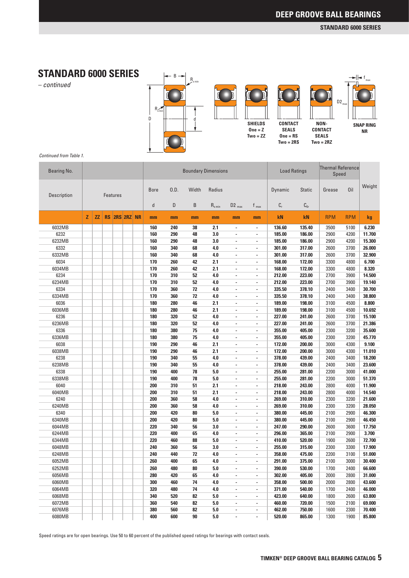### **STANDARD 6000 SERIES**

*– continued*





*Continued from Table 1.*

| Weight<br>Oil<br><b>Bore</b><br>0.D.<br>Width<br>Radius<br><b>Static</b><br>Dynamic<br>Grease<br>Description<br><b>Features</b><br>$\mathsf{d}$<br>D<br>B<br>$C_{r}$<br>$C_{0r}$<br>$R_{s,min}$<br>$D2_{max}$<br>$f_{\text{max}}$<br>z<br><b>ZZ</b><br>RS 2RS 2RZ NR<br>kN<br><b>RPM</b><br>kN<br><b>RPM</b><br>kg<br>mm<br>mm<br>mm<br>mm<br>mm<br>mm<br>6032MB<br>160<br>2.1<br>136.60<br>135.40<br>6.230<br>240<br>38<br>3500<br>5100<br>$\blacksquare$<br>$\overline{\phantom{a}}$<br>6232<br>160<br>290<br>48<br>3.0<br>185.00<br>186.00<br>2900<br>11.700<br>4200<br>ä,<br>$\blacksquare$<br>6232MB<br>160<br>290<br>3.0<br>185.00<br>2900<br>4200<br>15.300<br>48<br>186.00<br>$\overline{\phantom{a}}$<br>$\overline{\phantom{a}}$<br>6332<br>160<br>340<br>4.0<br>2600<br>26.000<br>68<br>301.00<br>317.00<br>3700<br>×,<br>$\qquad \qquad \blacksquare$<br>6332MB<br>160<br>340<br>68<br>4.0<br>2600<br>3700<br>301.00<br>317.00<br>32.900<br>ä,<br>$\blacksquare$<br>6034<br>2.1<br>170<br>260<br>42<br>172.00<br>3300<br>6.700<br>168.00<br>4800<br>ä,<br>ä,<br>6034MB<br>170<br>8.320<br>260<br>42<br>2.1<br>168.00<br>172.00<br>3300<br>4800<br>×,<br>٠<br>6234<br>170<br>310<br>52<br>4.0<br>212.00<br>2700<br>223.00<br>3900<br>14.500<br>ä,<br>٠<br>6234MB<br>170<br>310<br>52<br>4.0<br>212.00<br>223.00<br>2700<br>19.140<br>3900<br>ä,<br>$\overline{\phantom{a}}$<br>6334<br>170<br>360<br>30.700<br>72<br>4.0<br>335.50<br>378.10<br>2400<br>3400<br>×,<br>٠<br>72<br>4.0<br>6334MB<br>170<br>360<br>335.50<br>378.10<br>2400<br>3400<br>38.800<br>ä,<br>$\blacksquare$<br>6036<br>180<br>280<br>46<br>2.1<br>189.00<br>8.800<br>198.00<br>3100<br>4500<br>ä,<br>ä,<br>6036MB<br>180<br>280<br>2.1<br>189.00<br>10.692<br>46<br>198.00<br>3100<br>4500<br>×,<br>٠<br>6236<br>180<br>320<br>52<br>4.0<br>2600<br>3700<br>15.100<br>227.00<br>241.00<br>ä,<br>$\blacksquare$<br>6236MB<br>180<br>320<br>52<br>4.0<br>227.00<br>2600<br>3700<br>21.386<br>241.00<br>ä,<br>ä,<br>6336<br>180<br>380<br>4.0<br>2300<br>3200<br>35.600<br>75<br>355.00<br>405.00<br>٠<br>$\qquad \qquad \blacksquare$<br>6336MB<br>180<br>380<br>75<br>4.0<br>2300<br>3200<br>45.770<br>355.00<br>405.00<br>ä,<br>$\blacksquare$<br>6038<br>2.1<br>190<br>290<br>46<br>172.00<br>3000<br>4300<br>9.100<br>200.00<br>ä,<br>ä,<br>6038MB<br>190<br>290<br>2.1<br>172.00<br>11.010<br>46<br>200.00<br>3000<br>4300<br>×,<br>$\overline{\phantom{a}}$<br>4.0<br>6238<br>190<br>340<br>55<br>378.00<br>439.00<br>18.200<br>2400<br>3400<br>ä,<br>$\blacksquare$<br>6238MB<br>190<br>340<br>55<br>4.0<br>378.00<br>2400<br>23.600<br>439.00<br>3400<br>ä,<br>$\overline{\phantom{a}}$<br>6338<br>190<br>400<br>5.0<br>255.00<br>2200<br>41.000<br>78<br>281.00<br>3000<br>×,<br>$\overline{\phantom{a}}$<br>5.0<br>6338MB<br>190<br>400<br>78<br>255.00<br>281.00<br>2200<br>3000<br>51.370<br>ä,<br>٠<br>6040<br>200<br>310<br>51<br>2.1<br>2800<br>218.00<br>243.00<br>4000<br>11.900<br>ä,<br>ä,<br>6040MB<br>200<br>310<br>51<br>2.1<br>218.00<br>243.00<br>2800<br>14.540<br>4000<br>×,<br>$\overline{\phantom{a}}$<br>6240<br>200<br>360<br>58<br>4.0<br>269.00<br>310.00<br>2300<br>21.600<br>3200<br>ä,<br>$\blacksquare$<br>6240MB<br>200<br>360<br>58<br>4.0<br>2300<br>269.00<br>310.00<br>3200<br>28.050<br>ä,<br>$\overline{\phantom{a}}$<br>6340<br>200<br>420<br>5.0<br>380.00<br>445.00<br>2100<br>2900<br>46.300<br>80<br>×,<br>$\overline{\phantom{a}}$<br>6340MB<br>200<br>420<br>5.0<br>445.00<br>2100<br>2900<br>80<br>380.00<br>46.450<br>ä,<br>$\overline{\phantom{a}}$<br>6044MB<br>220<br>340<br>56<br>3.0<br>247.00<br>2600<br>290.00<br>3600<br>17.750<br>ä,<br>$\overline{\phantom{a}}$<br>6244MB<br>220<br>400<br>65<br>4.0<br>296.00<br>2900<br>3.700<br>365.00<br>2100<br>×,<br>$\overline{\phantom{a}}$<br>6344MB<br>220<br>460<br>88<br>5.0<br>520.00<br>1900<br>72.700<br>410.00<br>2600<br>ä,<br>$\overline{\phantom{a}}$<br>6048MB<br>240<br>360<br>56<br>3.0<br>2300<br>255.00<br>315.00<br>3300<br>17.900<br>ä,<br>$\blacksquare$<br>6248MB<br>240<br>4.0<br>475.00<br>2200<br>51.000<br>440<br>72<br>358.00<br>3100<br>×,<br>$\overline{\phantom{a}}$<br>260<br>65<br>4.0<br>2100<br>3000<br>6052MB<br>400<br>291.00<br>375.00<br>30.400<br>$\overline{\phantom{a}}$<br>$\overline{\phantom{a}}$<br>260<br>6252MB<br>480<br>80<br>5.0<br>390.00<br>530.00<br>1700<br>2400<br>66.600<br>6056MB<br>280<br>420<br>302.00<br>405.00<br>2000<br>2800<br>31.000<br>65<br>4.0<br>$\overline{\phantom{a}}$<br>$\overline{\phantom{a}}$<br>300<br>6060MB<br>460<br>74<br>4.0<br>358.00<br>500.00<br>2000<br>2800<br>43.600<br>$\overline{\phantom{0}}$<br>$\overline{\phantom{a}}$<br>6064MB<br>320<br>480<br>74<br>4.0<br>371.00<br>540.00<br>1700<br>2400<br>46.000<br>×,<br>$\overline{\phantom{a}}$<br>6068MB<br>340<br>520<br>82<br>5.0<br>423.00<br>640.00<br>1800<br>2600<br>63.800<br>٠<br>$\overline{\phantom{a}}$<br>6072MB<br>360<br>540<br>82<br>5.0<br>460.00<br>720.00<br>1500<br>2100<br>69.000<br>$\overline{\phantom{0}}$<br>۰<br>6076MB<br>380<br>82<br>5.0<br>462.00<br>560<br>750.00<br>1600<br>2300<br>70.400<br>×,<br>$\overline{\phantom{a}}$<br>6080MB<br>400<br>600<br>90<br>5.0<br>520.00<br>865.00<br>1300<br>1900<br>85.800<br>$\overline{\phantom{a}}$<br>$\overline{\phantom{0}}$ | Bearing No. |  |  |  |  | <b>Boundary Dimensions</b> |  | <b>Load Ratings</b> | <b>Thermal Reference</b><br>Speed |  |
|-----------------------------------------------------------------------------------------------------------------------------------------------------------------------------------------------------------------------------------------------------------------------------------------------------------------------------------------------------------------------------------------------------------------------------------------------------------------------------------------------------------------------------------------------------------------------------------------------------------------------------------------------------------------------------------------------------------------------------------------------------------------------------------------------------------------------------------------------------------------------------------------------------------------------------------------------------------------------------------------------------------------------------------------------------------------------------------------------------------------------------------------------------------------------------------------------------------------------------------------------------------------------------------------------------------------------------------------------------------------------------------------------------------------------------------------------------------------------------------------------------------------------------------------------------------------------------------------------------------------------------------------------------------------------------------------------------------------------------------------------------------------------------------------------------------------------------------------------------------------------------------------------------------------------------------------------------------------------------------------------------------------------------------------------------------------------------------------------------------------------------------------------------------------------------------------------------------------------------------------------------------------------------------------------------------------------------------------------------------------------------------------------------------------------------------------------------------------------------------------------------------------------------------------------------------------------------------------------------------------------------------------------------------------------------------------------------------------------------------------------------------------------------------------------------------------------------------------------------------------------------------------------------------------------------------------------------------------------------------------------------------------------------------------------------------------------------------------------------------------------------------------------------------------------------------------------------------------------------------------------------------------------------------------------------------------------------------------------------------------------------------------------------------------------------------------------------------------------------------------------------------------------------------------------------------------------------------------------------------------------------------------------------------------------------------------------------------------------------------------------------------------------------------------------------------------------------------------------------------------------------------------------------------------------------------------------------------------------------------------------------------------------------------------------------------------------------------------------------------------------------------------------------------------------------------------------------------------------------------------------------------------------------------------------------------------------------------------------------------------------------------------------------------------------------------------------------------------------------------------------------------------------------------------------------------------------------------------------------------------------------------------------------------------------------------------------------------------------------------------------------------------------------------------------------------------------------------------------------------------------------------------------------------------------------------------------------------------------------------------------------------------------------------------------------------------------------------------------------------------------------------------------------------------------------------------------------------------------------------------------------------------------------------------------------------------------------------------|-------------|--|--|--|--|----------------------------|--|---------------------|-----------------------------------|--|
|                                                                                                                                                                                                                                                                                                                                                                                                                                                                                                                                                                                                                                                                                                                                                                                                                                                                                                                                                                                                                                                                                                                                                                                                                                                                                                                                                                                                                                                                                                                                                                                                                                                                                                                                                                                                                                                                                                                                                                                                                                                                                                                                                                                                                                                                                                                                                                                                                                                                                                                                                                                                                                                                                                                                                                                                                                                                                                                                                                                                                                                                                                                                                                                                                                                                                                                                                                                                                                                                                                                                                                                                                                                                                                                                                                                                                                                                                                                                                                                                                                                                                                                                                                                                                                                                                                                                                                                                                                                                                                                                                                                                                                                                                                                                                                                                                                                                                                                                                                                                                                                                                                                                                                                                                                                                                                                                         |             |  |  |  |  |                            |  |                     |                                   |  |
|                                                                                                                                                                                                                                                                                                                                                                                                                                                                                                                                                                                                                                                                                                                                                                                                                                                                                                                                                                                                                                                                                                                                                                                                                                                                                                                                                                                                                                                                                                                                                                                                                                                                                                                                                                                                                                                                                                                                                                                                                                                                                                                                                                                                                                                                                                                                                                                                                                                                                                                                                                                                                                                                                                                                                                                                                                                                                                                                                                                                                                                                                                                                                                                                                                                                                                                                                                                                                                                                                                                                                                                                                                                                                                                                                                                                                                                                                                                                                                                                                                                                                                                                                                                                                                                                                                                                                                                                                                                                                                                                                                                                                                                                                                                                                                                                                                                                                                                                                                                                                                                                                                                                                                                                                                                                                                                                         |             |  |  |  |  |                            |  |                     |                                   |  |
|                                                                                                                                                                                                                                                                                                                                                                                                                                                                                                                                                                                                                                                                                                                                                                                                                                                                                                                                                                                                                                                                                                                                                                                                                                                                                                                                                                                                                                                                                                                                                                                                                                                                                                                                                                                                                                                                                                                                                                                                                                                                                                                                                                                                                                                                                                                                                                                                                                                                                                                                                                                                                                                                                                                                                                                                                                                                                                                                                                                                                                                                                                                                                                                                                                                                                                                                                                                                                                                                                                                                                                                                                                                                                                                                                                                                                                                                                                                                                                                                                                                                                                                                                                                                                                                                                                                                                                                                                                                                                                                                                                                                                                                                                                                                                                                                                                                                                                                                                                                                                                                                                                                                                                                                                                                                                                                                         |             |  |  |  |  |                            |  |                     |                                   |  |
|                                                                                                                                                                                                                                                                                                                                                                                                                                                                                                                                                                                                                                                                                                                                                                                                                                                                                                                                                                                                                                                                                                                                                                                                                                                                                                                                                                                                                                                                                                                                                                                                                                                                                                                                                                                                                                                                                                                                                                                                                                                                                                                                                                                                                                                                                                                                                                                                                                                                                                                                                                                                                                                                                                                                                                                                                                                                                                                                                                                                                                                                                                                                                                                                                                                                                                                                                                                                                                                                                                                                                                                                                                                                                                                                                                                                                                                                                                                                                                                                                                                                                                                                                                                                                                                                                                                                                                                                                                                                                                                                                                                                                                                                                                                                                                                                                                                                                                                                                                                                                                                                                                                                                                                                                                                                                                                                         |             |  |  |  |  |                            |  |                     |                                   |  |
|                                                                                                                                                                                                                                                                                                                                                                                                                                                                                                                                                                                                                                                                                                                                                                                                                                                                                                                                                                                                                                                                                                                                                                                                                                                                                                                                                                                                                                                                                                                                                                                                                                                                                                                                                                                                                                                                                                                                                                                                                                                                                                                                                                                                                                                                                                                                                                                                                                                                                                                                                                                                                                                                                                                                                                                                                                                                                                                                                                                                                                                                                                                                                                                                                                                                                                                                                                                                                                                                                                                                                                                                                                                                                                                                                                                                                                                                                                                                                                                                                                                                                                                                                                                                                                                                                                                                                                                                                                                                                                                                                                                                                                                                                                                                                                                                                                                                                                                                                                                                                                                                                                                                                                                                                                                                                                                                         |             |  |  |  |  |                            |  |                     |                                   |  |
|                                                                                                                                                                                                                                                                                                                                                                                                                                                                                                                                                                                                                                                                                                                                                                                                                                                                                                                                                                                                                                                                                                                                                                                                                                                                                                                                                                                                                                                                                                                                                                                                                                                                                                                                                                                                                                                                                                                                                                                                                                                                                                                                                                                                                                                                                                                                                                                                                                                                                                                                                                                                                                                                                                                                                                                                                                                                                                                                                                                                                                                                                                                                                                                                                                                                                                                                                                                                                                                                                                                                                                                                                                                                                                                                                                                                                                                                                                                                                                                                                                                                                                                                                                                                                                                                                                                                                                                                                                                                                                                                                                                                                                                                                                                                                                                                                                                                                                                                                                                                                                                                                                                                                                                                                                                                                                                                         |             |  |  |  |  |                            |  |                     |                                   |  |
|                                                                                                                                                                                                                                                                                                                                                                                                                                                                                                                                                                                                                                                                                                                                                                                                                                                                                                                                                                                                                                                                                                                                                                                                                                                                                                                                                                                                                                                                                                                                                                                                                                                                                                                                                                                                                                                                                                                                                                                                                                                                                                                                                                                                                                                                                                                                                                                                                                                                                                                                                                                                                                                                                                                                                                                                                                                                                                                                                                                                                                                                                                                                                                                                                                                                                                                                                                                                                                                                                                                                                                                                                                                                                                                                                                                                                                                                                                                                                                                                                                                                                                                                                                                                                                                                                                                                                                                                                                                                                                                                                                                                                                                                                                                                                                                                                                                                                                                                                                                                                                                                                                                                                                                                                                                                                                                                         |             |  |  |  |  |                            |  |                     |                                   |  |
|                                                                                                                                                                                                                                                                                                                                                                                                                                                                                                                                                                                                                                                                                                                                                                                                                                                                                                                                                                                                                                                                                                                                                                                                                                                                                                                                                                                                                                                                                                                                                                                                                                                                                                                                                                                                                                                                                                                                                                                                                                                                                                                                                                                                                                                                                                                                                                                                                                                                                                                                                                                                                                                                                                                                                                                                                                                                                                                                                                                                                                                                                                                                                                                                                                                                                                                                                                                                                                                                                                                                                                                                                                                                                                                                                                                                                                                                                                                                                                                                                                                                                                                                                                                                                                                                                                                                                                                                                                                                                                                                                                                                                                                                                                                                                                                                                                                                                                                                                                                                                                                                                                                                                                                                                                                                                                                                         |             |  |  |  |  |                            |  |                     |                                   |  |
|                                                                                                                                                                                                                                                                                                                                                                                                                                                                                                                                                                                                                                                                                                                                                                                                                                                                                                                                                                                                                                                                                                                                                                                                                                                                                                                                                                                                                                                                                                                                                                                                                                                                                                                                                                                                                                                                                                                                                                                                                                                                                                                                                                                                                                                                                                                                                                                                                                                                                                                                                                                                                                                                                                                                                                                                                                                                                                                                                                                                                                                                                                                                                                                                                                                                                                                                                                                                                                                                                                                                                                                                                                                                                                                                                                                                                                                                                                                                                                                                                                                                                                                                                                                                                                                                                                                                                                                                                                                                                                                                                                                                                                                                                                                                                                                                                                                                                                                                                                                                                                                                                                                                                                                                                                                                                                                                         |             |  |  |  |  |                            |  |                     |                                   |  |
|                                                                                                                                                                                                                                                                                                                                                                                                                                                                                                                                                                                                                                                                                                                                                                                                                                                                                                                                                                                                                                                                                                                                                                                                                                                                                                                                                                                                                                                                                                                                                                                                                                                                                                                                                                                                                                                                                                                                                                                                                                                                                                                                                                                                                                                                                                                                                                                                                                                                                                                                                                                                                                                                                                                                                                                                                                                                                                                                                                                                                                                                                                                                                                                                                                                                                                                                                                                                                                                                                                                                                                                                                                                                                                                                                                                                                                                                                                                                                                                                                                                                                                                                                                                                                                                                                                                                                                                                                                                                                                                                                                                                                                                                                                                                                                                                                                                                                                                                                                                                                                                                                                                                                                                                                                                                                                                                         |             |  |  |  |  |                            |  |                     |                                   |  |
|                                                                                                                                                                                                                                                                                                                                                                                                                                                                                                                                                                                                                                                                                                                                                                                                                                                                                                                                                                                                                                                                                                                                                                                                                                                                                                                                                                                                                                                                                                                                                                                                                                                                                                                                                                                                                                                                                                                                                                                                                                                                                                                                                                                                                                                                                                                                                                                                                                                                                                                                                                                                                                                                                                                                                                                                                                                                                                                                                                                                                                                                                                                                                                                                                                                                                                                                                                                                                                                                                                                                                                                                                                                                                                                                                                                                                                                                                                                                                                                                                                                                                                                                                                                                                                                                                                                                                                                                                                                                                                                                                                                                                                                                                                                                                                                                                                                                                                                                                                                                                                                                                                                                                                                                                                                                                                                                         |             |  |  |  |  |                            |  |                     |                                   |  |
|                                                                                                                                                                                                                                                                                                                                                                                                                                                                                                                                                                                                                                                                                                                                                                                                                                                                                                                                                                                                                                                                                                                                                                                                                                                                                                                                                                                                                                                                                                                                                                                                                                                                                                                                                                                                                                                                                                                                                                                                                                                                                                                                                                                                                                                                                                                                                                                                                                                                                                                                                                                                                                                                                                                                                                                                                                                                                                                                                                                                                                                                                                                                                                                                                                                                                                                                                                                                                                                                                                                                                                                                                                                                                                                                                                                                                                                                                                                                                                                                                                                                                                                                                                                                                                                                                                                                                                                                                                                                                                                                                                                                                                                                                                                                                                                                                                                                                                                                                                                                                                                                                                                                                                                                                                                                                                                                         |             |  |  |  |  |                            |  |                     |                                   |  |
|                                                                                                                                                                                                                                                                                                                                                                                                                                                                                                                                                                                                                                                                                                                                                                                                                                                                                                                                                                                                                                                                                                                                                                                                                                                                                                                                                                                                                                                                                                                                                                                                                                                                                                                                                                                                                                                                                                                                                                                                                                                                                                                                                                                                                                                                                                                                                                                                                                                                                                                                                                                                                                                                                                                                                                                                                                                                                                                                                                                                                                                                                                                                                                                                                                                                                                                                                                                                                                                                                                                                                                                                                                                                                                                                                                                                                                                                                                                                                                                                                                                                                                                                                                                                                                                                                                                                                                                                                                                                                                                                                                                                                                                                                                                                                                                                                                                                                                                                                                                                                                                                                                                                                                                                                                                                                                                                         |             |  |  |  |  |                            |  |                     |                                   |  |
|                                                                                                                                                                                                                                                                                                                                                                                                                                                                                                                                                                                                                                                                                                                                                                                                                                                                                                                                                                                                                                                                                                                                                                                                                                                                                                                                                                                                                                                                                                                                                                                                                                                                                                                                                                                                                                                                                                                                                                                                                                                                                                                                                                                                                                                                                                                                                                                                                                                                                                                                                                                                                                                                                                                                                                                                                                                                                                                                                                                                                                                                                                                                                                                                                                                                                                                                                                                                                                                                                                                                                                                                                                                                                                                                                                                                                                                                                                                                                                                                                                                                                                                                                                                                                                                                                                                                                                                                                                                                                                                                                                                                                                                                                                                                                                                                                                                                                                                                                                                                                                                                                                                                                                                                                                                                                                                                         |             |  |  |  |  |                            |  |                     |                                   |  |
|                                                                                                                                                                                                                                                                                                                                                                                                                                                                                                                                                                                                                                                                                                                                                                                                                                                                                                                                                                                                                                                                                                                                                                                                                                                                                                                                                                                                                                                                                                                                                                                                                                                                                                                                                                                                                                                                                                                                                                                                                                                                                                                                                                                                                                                                                                                                                                                                                                                                                                                                                                                                                                                                                                                                                                                                                                                                                                                                                                                                                                                                                                                                                                                                                                                                                                                                                                                                                                                                                                                                                                                                                                                                                                                                                                                                                                                                                                                                                                                                                                                                                                                                                                                                                                                                                                                                                                                                                                                                                                                                                                                                                                                                                                                                                                                                                                                                                                                                                                                                                                                                                                                                                                                                                                                                                                                                         |             |  |  |  |  |                            |  |                     |                                   |  |
|                                                                                                                                                                                                                                                                                                                                                                                                                                                                                                                                                                                                                                                                                                                                                                                                                                                                                                                                                                                                                                                                                                                                                                                                                                                                                                                                                                                                                                                                                                                                                                                                                                                                                                                                                                                                                                                                                                                                                                                                                                                                                                                                                                                                                                                                                                                                                                                                                                                                                                                                                                                                                                                                                                                                                                                                                                                                                                                                                                                                                                                                                                                                                                                                                                                                                                                                                                                                                                                                                                                                                                                                                                                                                                                                                                                                                                                                                                                                                                                                                                                                                                                                                                                                                                                                                                                                                                                                                                                                                                                                                                                                                                                                                                                                                                                                                                                                                                                                                                                                                                                                                                                                                                                                                                                                                                                                         |             |  |  |  |  |                            |  |                     |                                   |  |
|                                                                                                                                                                                                                                                                                                                                                                                                                                                                                                                                                                                                                                                                                                                                                                                                                                                                                                                                                                                                                                                                                                                                                                                                                                                                                                                                                                                                                                                                                                                                                                                                                                                                                                                                                                                                                                                                                                                                                                                                                                                                                                                                                                                                                                                                                                                                                                                                                                                                                                                                                                                                                                                                                                                                                                                                                                                                                                                                                                                                                                                                                                                                                                                                                                                                                                                                                                                                                                                                                                                                                                                                                                                                                                                                                                                                                                                                                                                                                                                                                                                                                                                                                                                                                                                                                                                                                                                                                                                                                                                                                                                                                                                                                                                                                                                                                                                                                                                                                                                                                                                                                                                                                                                                                                                                                                                                         |             |  |  |  |  |                            |  |                     |                                   |  |
|                                                                                                                                                                                                                                                                                                                                                                                                                                                                                                                                                                                                                                                                                                                                                                                                                                                                                                                                                                                                                                                                                                                                                                                                                                                                                                                                                                                                                                                                                                                                                                                                                                                                                                                                                                                                                                                                                                                                                                                                                                                                                                                                                                                                                                                                                                                                                                                                                                                                                                                                                                                                                                                                                                                                                                                                                                                                                                                                                                                                                                                                                                                                                                                                                                                                                                                                                                                                                                                                                                                                                                                                                                                                                                                                                                                                                                                                                                                                                                                                                                                                                                                                                                                                                                                                                                                                                                                                                                                                                                                                                                                                                                                                                                                                                                                                                                                                                                                                                                                                                                                                                                                                                                                                                                                                                                                                         |             |  |  |  |  |                            |  |                     |                                   |  |
|                                                                                                                                                                                                                                                                                                                                                                                                                                                                                                                                                                                                                                                                                                                                                                                                                                                                                                                                                                                                                                                                                                                                                                                                                                                                                                                                                                                                                                                                                                                                                                                                                                                                                                                                                                                                                                                                                                                                                                                                                                                                                                                                                                                                                                                                                                                                                                                                                                                                                                                                                                                                                                                                                                                                                                                                                                                                                                                                                                                                                                                                                                                                                                                                                                                                                                                                                                                                                                                                                                                                                                                                                                                                                                                                                                                                                                                                                                                                                                                                                                                                                                                                                                                                                                                                                                                                                                                                                                                                                                                                                                                                                                                                                                                                                                                                                                                                                                                                                                                                                                                                                                                                                                                                                                                                                                                                         |             |  |  |  |  |                            |  |                     |                                   |  |
|                                                                                                                                                                                                                                                                                                                                                                                                                                                                                                                                                                                                                                                                                                                                                                                                                                                                                                                                                                                                                                                                                                                                                                                                                                                                                                                                                                                                                                                                                                                                                                                                                                                                                                                                                                                                                                                                                                                                                                                                                                                                                                                                                                                                                                                                                                                                                                                                                                                                                                                                                                                                                                                                                                                                                                                                                                                                                                                                                                                                                                                                                                                                                                                                                                                                                                                                                                                                                                                                                                                                                                                                                                                                                                                                                                                                                                                                                                                                                                                                                                                                                                                                                                                                                                                                                                                                                                                                                                                                                                                                                                                                                                                                                                                                                                                                                                                                                                                                                                                                                                                                                                                                                                                                                                                                                                                                         |             |  |  |  |  |                            |  |                     |                                   |  |
|                                                                                                                                                                                                                                                                                                                                                                                                                                                                                                                                                                                                                                                                                                                                                                                                                                                                                                                                                                                                                                                                                                                                                                                                                                                                                                                                                                                                                                                                                                                                                                                                                                                                                                                                                                                                                                                                                                                                                                                                                                                                                                                                                                                                                                                                                                                                                                                                                                                                                                                                                                                                                                                                                                                                                                                                                                                                                                                                                                                                                                                                                                                                                                                                                                                                                                                                                                                                                                                                                                                                                                                                                                                                                                                                                                                                                                                                                                                                                                                                                                                                                                                                                                                                                                                                                                                                                                                                                                                                                                                                                                                                                                                                                                                                                                                                                                                                                                                                                                                                                                                                                                                                                                                                                                                                                                                                         |             |  |  |  |  |                            |  |                     |                                   |  |
|                                                                                                                                                                                                                                                                                                                                                                                                                                                                                                                                                                                                                                                                                                                                                                                                                                                                                                                                                                                                                                                                                                                                                                                                                                                                                                                                                                                                                                                                                                                                                                                                                                                                                                                                                                                                                                                                                                                                                                                                                                                                                                                                                                                                                                                                                                                                                                                                                                                                                                                                                                                                                                                                                                                                                                                                                                                                                                                                                                                                                                                                                                                                                                                                                                                                                                                                                                                                                                                                                                                                                                                                                                                                                                                                                                                                                                                                                                                                                                                                                                                                                                                                                                                                                                                                                                                                                                                                                                                                                                                                                                                                                                                                                                                                                                                                                                                                                                                                                                                                                                                                                                                                                                                                                                                                                                                                         |             |  |  |  |  |                            |  |                     |                                   |  |
|                                                                                                                                                                                                                                                                                                                                                                                                                                                                                                                                                                                                                                                                                                                                                                                                                                                                                                                                                                                                                                                                                                                                                                                                                                                                                                                                                                                                                                                                                                                                                                                                                                                                                                                                                                                                                                                                                                                                                                                                                                                                                                                                                                                                                                                                                                                                                                                                                                                                                                                                                                                                                                                                                                                                                                                                                                                                                                                                                                                                                                                                                                                                                                                                                                                                                                                                                                                                                                                                                                                                                                                                                                                                                                                                                                                                                                                                                                                                                                                                                                                                                                                                                                                                                                                                                                                                                                                                                                                                                                                                                                                                                                                                                                                                                                                                                                                                                                                                                                                                                                                                                                                                                                                                                                                                                                                                         |             |  |  |  |  |                            |  |                     |                                   |  |
|                                                                                                                                                                                                                                                                                                                                                                                                                                                                                                                                                                                                                                                                                                                                                                                                                                                                                                                                                                                                                                                                                                                                                                                                                                                                                                                                                                                                                                                                                                                                                                                                                                                                                                                                                                                                                                                                                                                                                                                                                                                                                                                                                                                                                                                                                                                                                                                                                                                                                                                                                                                                                                                                                                                                                                                                                                                                                                                                                                                                                                                                                                                                                                                                                                                                                                                                                                                                                                                                                                                                                                                                                                                                                                                                                                                                                                                                                                                                                                                                                                                                                                                                                                                                                                                                                                                                                                                                                                                                                                                                                                                                                                                                                                                                                                                                                                                                                                                                                                                                                                                                                                                                                                                                                                                                                                                                         |             |  |  |  |  |                            |  |                     |                                   |  |
|                                                                                                                                                                                                                                                                                                                                                                                                                                                                                                                                                                                                                                                                                                                                                                                                                                                                                                                                                                                                                                                                                                                                                                                                                                                                                                                                                                                                                                                                                                                                                                                                                                                                                                                                                                                                                                                                                                                                                                                                                                                                                                                                                                                                                                                                                                                                                                                                                                                                                                                                                                                                                                                                                                                                                                                                                                                                                                                                                                                                                                                                                                                                                                                                                                                                                                                                                                                                                                                                                                                                                                                                                                                                                                                                                                                                                                                                                                                                                                                                                                                                                                                                                                                                                                                                                                                                                                                                                                                                                                                                                                                                                                                                                                                                                                                                                                                                                                                                                                                                                                                                                                                                                                                                                                                                                                                                         |             |  |  |  |  |                            |  |                     |                                   |  |
|                                                                                                                                                                                                                                                                                                                                                                                                                                                                                                                                                                                                                                                                                                                                                                                                                                                                                                                                                                                                                                                                                                                                                                                                                                                                                                                                                                                                                                                                                                                                                                                                                                                                                                                                                                                                                                                                                                                                                                                                                                                                                                                                                                                                                                                                                                                                                                                                                                                                                                                                                                                                                                                                                                                                                                                                                                                                                                                                                                                                                                                                                                                                                                                                                                                                                                                                                                                                                                                                                                                                                                                                                                                                                                                                                                                                                                                                                                                                                                                                                                                                                                                                                                                                                                                                                                                                                                                                                                                                                                                                                                                                                                                                                                                                                                                                                                                                                                                                                                                                                                                                                                                                                                                                                                                                                                                                         |             |  |  |  |  |                            |  |                     |                                   |  |
|                                                                                                                                                                                                                                                                                                                                                                                                                                                                                                                                                                                                                                                                                                                                                                                                                                                                                                                                                                                                                                                                                                                                                                                                                                                                                                                                                                                                                                                                                                                                                                                                                                                                                                                                                                                                                                                                                                                                                                                                                                                                                                                                                                                                                                                                                                                                                                                                                                                                                                                                                                                                                                                                                                                                                                                                                                                                                                                                                                                                                                                                                                                                                                                                                                                                                                                                                                                                                                                                                                                                                                                                                                                                                                                                                                                                                                                                                                                                                                                                                                                                                                                                                                                                                                                                                                                                                                                                                                                                                                                                                                                                                                                                                                                                                                                                                                                                                                                                                                                                                                                                                                                                                                                                                                                                                                                                         |             |  |  |  |  |                            |  |                     |                                   |  |
|                                                                                                                                                                                                                                                                                                                                                                                                                                                                                                                                                                                                                                                                                                                                                                                                                                                                                                                                                                                                                                                                                                                                                                                                                                                                                                                                                                                                                                                                                                                                                                                                                                                                                                                                                                                                                                                                                                                                                                                                                                                                                                                                                                                                                                                                                                                                                                                                                                                                                                                                                                                                                                                                                                                                                                                                                                                                                                                                                                                                                                                                                                                                                                                                                                                                                                                                                                                                                                                                                                                                                                                                                                                                                                                                                                                                                                                                                                                                                                                                                                                                                                                                                                                                                                                                                                                                                                                                                                                                                                                                                                                                                                                                                                                                                                                                                                                                                                                                                                                                                                                                                                                                                                                                                                                                                                                                         |             |  |  |  |  |                            |  |                     |                                   |  |
|                                                                                                                                                                                                                                                                                                                                                                                                                                                                                                                                                                                                                                                                                                                                                                                                                                                                                                                                                                                                                                                                                                                                                                                                                                                                                                                                                                                                                                                                                                                                                                                                                                                                                                                                                                                                                                                                                                                                                                                                                                                                                                                                                                                                                                                                                                                                                                                                                                                                                                                                                                                                                                                                                                                                                                                                                                                                                                                                                                                                                                                                                                                                                                                                                                                                                                                                                                                                                                                                                                                                                                                                                                                                                                                                                                                                                                                                                                                                                                                                                                                                                                                                                                                                                                                                                                                                                                                                                                                                                                                                                                                                                                                                                                                                                                                                                                                                                                                                                                                                                                                                                                                                                                                                                                                                                                                                         |             |  |  |  |  |                            |  |                     |                                   |  |
|                                                                                                                                                                                                                                                                                                                                                                                                                                                                                                                                                                                                                                                                                                                                                                                                                                                                                                                                                                                                                                                                                                                                                                                                                                                                                                                                                                                                                                                                                                                                                                                                                                                                                                                                                                                                                                                                                                                                                                                                                                                                                                                                                                                                                                                                                                                                                                                                                                                                                                                                                                                                                                                                                                                                                                                                                                                                                                                                                                                                                                                                                                                                                                                                                                                                                                                                                                                                                                                                                                                                                                                                                                                                                                                                                                                                                                                                                                                                                                                                                                                                                                                                                                                                                                                                                                                                                                                                                                                                                                                                                                                                                                                                                                                                                                                                                                                                                                                                                                                                                                                                                                                                                                                                                                                                                                                                         |             |  |  |  |  |                            |  |                     |                                   |  |
|                                                                                                                                                                                                                                                                                                                                                                                                                                                                                                                                                                                                                                                                                                                                                                                                                                                                                                                                                                                                                                                                                                                                                                                                                                                                                                                                                                                                                                                                                                                                                                                                                                                                                                                                                                                                                                                                                                                                                                                                                                                                                                                                                                                                                                                                                                                                                                                                                                                                                                                                                                                                                                                                                                                                                                                                                                                                                                                                                                                                                                                                                                                                                                                                                                                                                                                                                                                                                                                                                                                                                                                                                                                                                                                                                                                                                                                                                                                                                                                                                                                                                                                                                                                                                                                                                                                                                                                                                                                                                                                                                                                                                                                                                                                                                                                                                                                                                                                                                                                                                                                                                                                                                                                                                                                                                                                                         |             |  |  |  |  |                            |  |                     |                                   |  |
|                                                                                                                                                                                                                                                                                                                                                                                                                                                                                                                                                                                                                                                                                                                                                                                                                                                                                                                                                                                                                                                                                                                                                                                                                                                                                                                                                                                                                                                                                                                                                                                                                                                                                                                                                                                                                                                                                                                                                                                                                                                                                                                                                                                                                                                                                                                                                                                                                                                                                                                                                                                                                                                                                                                                                                                                                                                                                                                                                                                                                                                                                                                                                                                                                                                                                                                                                                                                                                                                                                                                                                                                                                                                                                                                                                                                                                                                                                                                                                                                                                                                                                                                                                                                                                                                                                                                                                                                                                                                                                                                                                                                                                                                                                                                                                                                                                                                                                                                                                                                                                                                                                                                                                                                                                                                                                                                         |             |  |  |  |  |                            |  |                     |                                   |  |
|                                                                                                                                                                                                                                                                                                                                                                                                                                                                                                                                                                                                                                                                                                                                                                                                                                                                                                                                                                                                                                                                                                                                                                                                                                                                                                                                                                                                                                                                                                                                                                                                                                                                                                                                                                                                                                                                                                                                                                                                                                                                                                                                                                                                                                                                                                                                                                                                                                                                                                                                                                                                                                                                                                                                                                                                                                                                                                                                                                                                                                                                                                                                                                                                                                                                                                                                                                                                                                                                                                                                                                                                                                                                                                                                                                                                                                                                                                                                                                                                                                                                                                                                                                                                                                                                                                                                                                                                                                                                                                                                                                                                                                                                                                                                                                                                                                                                                                                                                                                                                                                                                                                                                                                                                                                                                                                                         |             |  |  |  |  |                            |  |                     |                                   |  |
|                                                                                                                                                                                                                                                                                                                                                                                                                                                                                                                                                                                                                                                                                                                                                                                                                                                                                                                                                                                                                                                                                                                                                                                                                                                                                                                                                                                                                                                                                                                                                                                                                                                                                                                                                                                                                                                                                                                                                                                                                                                                                                                                                                                                                                                                                                                                                                                                                                                                                                                                                                                                                                                                                                                                                                                                                                                                                                                                                                                                                                                                                                                                                                                                                                                                                                                                                                                                                                                                                                                                                                                                                                                                                                                                                                                                                                                                                                                                                                                                                                                                                                                                                                                                                                                                                                                                                                                                                                                                                                                                                                                                                                                                                                                                                                                                                                                                                                                                                                                                                                                                                                                                                                                                                                                                                                                                         |             |  |  |  |  |                            |  |                     |                                   |  |
|                                                                                                                                                                                                                                                                                                                                                                                                                                                                                                                                                                                                                                                                                                                                                                                                                                                                                                                                                                                                                                                                                                                                                                                                                                                                                                                                                                                                                                                                                                                                                                                                                                                                                                                                                                                                                                                                                                                                                                                                                                                                                                                                                                                                                                                                                                                                                                                                                                                                                                                                                                                                                                                                                                                                                                                                                                                                                                                                                                                                                                                                                                                                                                                                                                                                                                                                                                                                                                                                                                                                                                                                                                                                                                                                                                                                                                                                                                                                                                                                                                                                                                                                                                                                                                                                                                                                                                                                                                                                                                                                                                                                                                                                                                                                                                                                                                                                                                                                                                                                                                                                                                                                                                                                                                                                                                                                         |             |  |  |  |  |                            |  |                     |                                   |  |
|                                                                                                                                                                                                                                                                                                                                                                                                                                                                                                                                                                                                                                                                                                                                                                                                                                                                                                                                                                                                                                                                                                                                                                                                                                                                                                                                                                                                                                                                                                                                                                                                                                                                                                                                                                                                                                                                                                                                                                                                                                                                                                                                                                                                                                                                                                                                                                                                                                                                                                                                                                                                                                                                                                                                                                                                                                                                                                                                                                                                                                                                                                                                                                                                                                                                                                                                                                                                                                                                                                                                                                                                                                                                                                                                                                                                                                                                                                                                                                                                                                                                                                                                                                                                                                                                                                                                                                                                                                                                                                                                                                                                                                                                                                                                                                                                                                                                                                                                                                                                                                                                                                                                                                                                                                                                                                                                         |             |  |  |  |  |                            |  |                     |                                   |  |
|                                                                                                                                                                                                                                                                                                                                                                                                                                                                                                                                                                                                                                                                                                                                                                                                                                                                                                                                                                                                                                                                                                                                                                                                                                                                                                                                                                                                                                                                                                                                                                                                                                                                                                                                                                                                                                                                                                                                                                                                                                                                                                                                                                                                                                                                                                                                                                                                                                                                                                                                                                                                                                                                                                                                                                                                                                                                                                                                                                                                                                                                                                                                                                                                                                                                                                                                                                                                                                                                                                                                                                                                                                                                                                                                                                                                                                                                                                                                                                                                                                                                                                                                                                                                                                                                                                                                                                                                                                                                                                                                                                                                                                                                                                                                                                                                                                                                                                                                                                                                                                                                                                                                                                                                                                                                                                                                         |             |  |  |  |  |                            |  |                     |                                   |  |
|                                                                                                                                                                                                                                                                                                                                                                                                                                                                                                                                                                                                                                                                                                                                                                                                                                                                                                                                                                                                                                                                                                                                                                                                                                                                                                                                                                                                                                                                                                                                                                                                                                                                                                                                                                                                                                                                                                                                                                                                                                                                                                                                                                                                                                                                                                                                                                                                                                                                                                                                                                                                                                                                                                                                                                                                                                                                                                                                                                                                                                                                                                                                                                                                                                                                                                                                                                                                                                                                                                                                                                                                                                                                                                                                                                                                                                                                                                                                                                                                                                                                                                                                                                                                                                                                                                                                                                                                                                                                                                                                                                                                                                                                                                                                                                                                                                                                                                                                                                                                                                                                                                                                                                                                                                                                                                                                         |             |  |  |  |  |                            |  |                     |                                   |  |
|                                                                                                                                                                                                                                                                                                                                                                                                                                                                                                                                                                                                                                                                                                                                                                                                                                                                                                                                                                                                                                                                                                                                                                                                                                                                                                                                                                                                                                                                                                                                                                                                                                                                                                                                                                                                                                                                                                                                                                                                                                                                                                                                                                                                                                                                                                                                                                                                                                                                                                                                                                                                                                                                                                                                                                                                                                                                                                                                                                                                                                                                                                                                                                                                                                                                                                                                                                                                                                                                                                                                                                                                                                                                                                                                                                                                                                                                                                                                                                                                                                                                                                                                                                                                                                                                                                                                                                                                                                                                                                                                                                                                                                                                                                                                                                                                                                                                                                                                                                                                                                                                                                                                                                                                                                                                                                                                         |             |  |  |  |  |                            |  |                     |                                   |  |
|                                                                                                                                                                                                                                                                                                                                                                                                                                                                                                                                                                                                                                                                                                                                                                                                                                                                                                                                                                                                                                                                                                                                                                                                                                                                                                                                                                                                                                                                                                                                                                                                                                                                                                                                                                                                                                                                                                                                                                                                                                                                                                                                                                                                                                                                                                                                                                                                                                                                                                                                                                                                                                                                                                                                                                                                                                                                                                                                                                                                                                                                                                                                                                                                                                                                                                                                                                                                                                                                                                                                                                                                                                                                                                                                                                                                                                                                                                                                                                                                                                                                                                                                                                                                                                                                                                                                                                                                                                                                                                                                                                                                                                                                                                                                                                                                                                                                                                                                                                                                                                                                                                                                                                                                                                                                                                                                         |             |  |  |  |  |                            |  |                     |                                   |  |
|                                                                                                                                                                                                                                                                                                                                                                                                                                                                                                                                                                                                                                                                                                                                                                                                                                                                                                                                                                                                                                                                                                                                                                                                                                                                                                                                                                                                                                                                                                                                                                                                                                                                                                                                                                                                                                                                                                                                                                                                                                                                                                                                                                                                                                                                                                                                                                                                                                                                                                                                                                                                                                                                                                                                                                                                                                                                                                                                                                                                                                                                                                                                                                                                                                                                                                                                                                                                                                                                                                                                                                                                                                                                                                                                                                                                                                                                                                                                                                                                                                                                                                                                                                                                                                                                                                                                                                                                                                                                                                                                                                                                                                                                                                                                                                                                                                                                                                                                                                                                                                                                                                                                                                                                                                                                                                                                         |             |  |  |  |  |                            |  |                     |                                   |  |
|                                                                                                                                                                                                                                                                                                                                                                                                                                                                                                                                                                                                                                                                                                                                                                                                                                                                                                                                                                                                                                                                                                                                                                                                                                                                                                                                                                                                                                                                                                                                                                                                                                                                                                                                                                                                                                                                                                                                                                                                                                                                                                                                                                                                                                                                                                                                                                                                                                                                                                                                                                                                                                                                                                                                                                                                                                                                                                                                                                                                                                                                                                                                                                                                                                                                                                                                                                                                                                                                                                                                                                                                                                                                                                                                                                                                                                                                                                                                                                                                                                                                                                                                                                                                                                                                                                                                                                                                                                                                                                                                                                                                                                                                                                                                                                                                                                                                                                                                                                                                                                                                                                                                                                                                                                                                                                                                         |             |  |  |  |  |                            |  |                     |                                   |  |
|                                                                                                                                                                                                                                                                                                                                                                                                                                                                                                                                                                                                                                                                                                                                                                                                                                                                                                                                                                                                                                                                                                                                                                                                                                                                                                                                                                                                                                                                                                                                                                                                                                                                                                                                                                                                                                                                                                                                                                                                                                                                                                                                                                                                                                                                                                                                                                                                                                                                                                                                                                                                                                                                                                                                                                                                                                                                                                                                                                                                                                                                                                                                                                                                                                                                                                                                                                                                                                                                                                                                                                                                                                                                                                                                                                                                                                                                                                                                                                                                                                                                                                                                                                                                                                                                                                                                                                                                                                                                                                                                                                                                                                                                                                                                                                                                                                                                                                                                                                                                                                                                                                                                                                                                                                                                                                                                         |             |  |  |  |  |                            |  |                     |                                   |  |
|                                                                                                                                                                                                                                                                                                                                                                                                                                                                                                                                                                                                                                                                                                                                                                                                                                                                                                                                                                                                                                                                                                                                                                                                                                                                                                                                                                                                                                                                                                                                                                                                                                                                                                                                                                                                                                                                                                                                                                                                                                                                                                                                                                                                                                                                                                                                                                                                                                                                                                                                                                                                                                                                                                                                                                                                                                                                                                                                                                                                                                                                                                                                                                                                                                                                                                                                                                                                                                                                                                                                                                                                                                                                                                                                                                                                                                                                                                                                                                                                                                                                                                                                                                                                                                                                                                                                                                                                                                                                                                                                                                                                                                                                                                                                                                                                                                                                                                                                                                                                                                                                                                                                                                                                                                                                                                                                         |             |  |  |  |  |                            |  |                     |                                   |  |
|                                                                                                                                                                                                                                                                                                                                                                                                                                                                                                                                                                                                                                                                                                                                                                                                                                                                                                                                                                                                                                                                                                                                                                                                                                                                                                                                                                                                                                                                                                                                                                                                                                                                                                                                                                                                                                                                                                                                                                                                                                                                                                                                                                                                                                                                                                                                                                                                                                                                                                                                                                                                                                                                                                                                                                                                                                                                                                                                                                                                                                                                                                                                                                                                                                                                                                                                                                                                                                                                                                                                                                                                                                                                                                                                                                                                                                                                                                                                                                                                                                                                                                                                                                                                                                                                                                                                                                                                                                                                                                                                                                                                                                                                                                                                                                                                                                                                                                                                                                                                                                                                                                                                                                                                                                                                                                                                         |             |  |  |  |  |                            |  |                     |                                   |  |
|                                                                                                                                                                                                                                                                                                                                                                                                                                                                                                                                                                                                                                                                                                                                                                                                                                                                                                                                                                                                                                                                                                                                                                                                                                                                                                                                                                                                                                                                                                                                                                                                                                                                                                                                                                                                                                                                                                                                                                                                                                                                                                                                                                                                                                                                                                                                                                                                                                                                                                                                                                                                                                                                                                                                                                                                                                                                                                                                                                                                                                                                                                                                                                                                                                                                                                                                                                                                                                                                                                                                                                                                                                                                                                                                                                                                                                                                                                                                                                                                                                                                                                                                                                                                                                                                                                                                                                                                                                                                                                                                                                                                                                                                                                                                                                                                                                                                                                                                                                                                                                                                                                                                                                                                                                                                                                                                         |             |  |  |  |  |                            |  |                     |                                   |  |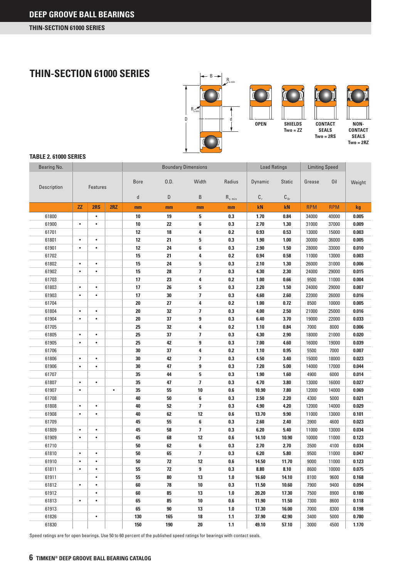**THIN-SECTION 61000 SERIES** 



#### **TABLE 2. 61000 SERIES**

| Bearing No.    |           |           | <b>Boundary Dimensions</b> |              |      |                         | <b>Load Ratings</b>                  |                | <b>Limiting Speed</b> |            |            |                |
|----------------|-----------|-----------|----------------------------|--------------|------|-------------------------|--------------------------------------|----------------|-----------------------|------------|------------|----------------|
| Description    |           | Features  |                            | <b>Bore</b>  | 0.D. | Width                   | Radius                               | Dynamic        | <b>Static</b>         | Grease     | 0il        | Weight         |
|                |           |           |                            | $\mathsf{d}$ | D    | B                       | $\mathsf{R}_{\, \mathrm{s} \, \min}$ | $\mathbf{C}_r$ | $C_{0r}$              |            |            |                |
|                | ZZ        | 2RS       | 2RZ                        | mm           | mm   | mm                      | mm                                   | kN             | kN                    | <b>RPM</b> | <b>RPM</b> | kg             |
| 61800          |           | $\bullet$ |                            | 10           | 19   | 5                       | 0.3                                  | 1.70           | 0.84                  | 34000      | 40000      | 0.005          |
| 61900          | $\bullet$ | $\bullet$ |                            | 10           | 22   | 6                       | 0.3                                  | 2.70           | 1.30                  | 31000      | 37000      | 0.009          |
| 61701          |           |           |                            | 12           | 18   | 4                       | 0.2                                  | 0.93           | 0.53                  | 13000      | 15000      | 0.003          |
| 61801          | $\bullet$ | $\bullet$ |                            | 12           | 21   | 5                       | 0.3                                  | 1.90           | 1.00                  | 30000      | 36000      | 0.005          |
| 61901          | $\bullet$ | $\bullet$ |                            | 12           | 24   | 6                       | 0.3                                  | 2.90           | 1.50                  | 28000      | 33000      | 0.010          |
| 61702          |           |           |                            | 15           | 21   | 4                       | 0.2                                  | 0.94           | 0.58                  | 11000      | 13000      | 0.003          |
| 61802          | $\bullet$ | $\bullet$ |                            | 15           | 24   | 5                       | 0.3                                  | 2.10           | 1.30                  | 26000      | 31000      | 0.006          |
| 61902          | $\bullet$ | $\bullet$ |                            | 15           | 28   | $\overline{1}$          | 0.3                                  | 4.30           | 2.30                  | 24000      | 29000      | 0.015          |
| 61703          |           |           |                            | 17           | 23   | 4                       | 0.2                                  | 1.00           | $0.66\,$              | 9500       | 11000      | 0.004          |
| 61803          | $\bullet$ | $\bullet$ |                            | 17           | 26   | 5                       | 0.3                                  | 2.20           | 1.50                  | 24000      | 29000      | 0.007          |
| 61903          | ٠         | ٠         |                            | 17           | 30   | 7                       | 0.3                                  | 4.60           | 2.60                  | 22000      | 26000      | 0.016          |
| 61704          |           |           |                            | 20           | 27   | 4                       | 0.2                                  | 1.00           | 0.72                  | 8500       | 10000      | 0.005          |
| 61804          | $\bullet$ | $\bullet$ |                            | 20           | 32   | 7                       | 0.3                                  | 4.00           | 2.50                  | 21000      | 25000      | 0.016          |
| 61904          | $\bullet$ | $\bullet$ |                            | 20           | 37   | 9                       | 0.3                                  | 6.40           | 3.70                  | 19000      | 22000      | 0.033          |
| 61705          |           |           |                            | 25           | 32   | 4                       | 0.2                                  | 1.10           | 0.84                  | 7000       | 8000       | 0.006          |
| 61805          | ٠         | $\bullet$ |                            | 25           | 37   | $\overline{\mathbf{z}}$ | 0.3                                  | 4.30           | 2.90                  | 18000      | 21000      | 0.020          |
| 61905          | $\bullet$ | $\bullet$ |                            | 25           | 42   | 9                       | 0.3                                  | 7.00           | 4.60                  | 16000      | 19000      | 0.039          |
| 61706          |           |           |                            | 30           | 37   | 4                       | 0.2                                  | 1.10           | 0.95                  | 5500       | 7000       | 0.007          |
| 61806          | $\bullet$ | $\bullet$ |                            | 30           | 42   | $\overline{\mathbf{z}}$ | 0.3                                  | 4.50           | 3.40                  | 15000      | 18000      | 0.023          |
| 61906          | $\bullet$ | $\bullet$ |                            | 30           | 47   | 9                       | 0.3                                  | 7.20           | 5.00                  | 14000      | 17000      | 0.044          |
| 61707          |           |           |                            | 35           | 44   | 5                       | 0.3                                  | 1.90           | 1.60                  | 4900       | 6000       | 0.014          |
| 61807          | $\bullet$ | $\bullet$ |                            | 35           | 47   | 7                       | 0.3                                  | 4.70           | 3.80                  | 13000      | 16000      | 0.027          |
| 61907          | $\bullet$ |           | $\bullet$                  | 35           | 55   | 10                      | $0.6\,$                              | 10.90          | 7.80                  | 12000      | 14000      | 0.069          |
| 61708          |           |           |                            | 40           | 50   | 6                       | 0.3                                  | 2.50           | 2.20                  | 4300       | 5000       | 0.021          |
| 61808          | $\bullet$ | $\bullet$ |                            | 40           | 52   | 7                       | 0.3                                  | 4.90           | 4.20                  | 12000      | 14000      | 0.029          |
| 61908          | $\bullet$ | $\bullet$ |                            | 40           | 62   | 12                      | $0.6\,$                              | 13.70          | 9.90                  | 11000      | 13000      | 0.101          |
| 61709          |           |           |                            | 45           | 55   | 6                       | 0.3                                  | 2.60           | 2.40                  | 3900       | 4600       | 0.023          |
| 61809          | $\bullet$ | $\bullet$ |                            | 45           | 58   | $\overline{\mathbf{z}}$ | 0.3                                  | 6.20           | 5.40                  | 11000      | 13000      | 0.034          |
| 61909          | $\bullet$ | $\bullet$ |                            | 45           | 68   | 12                      | $0.6\,$                              | 14.10          | 10.90                 | 10000      | 11000      | 0.123          |
| 61710          |           |           |                            | 50           | 62   | 6                       | 0.3                                  | 2.70           | 2.70                  | 3500       | 4100       | 0.034          |
| 61810          | $\bullet$ | $\bullet$ |                            | 50           | 65   | $\overline{\mathbf{z}}$ | 0.3                                  | 6.20           | 5.80                  | 9500       | 11000      | 0.047          |
| 61910          | $\bullet$ | $\bullet$ |                            | 50           | 72   | 12                      | 0.6                                  | 14.50          | 11.70                 | 9000       | 11000      | 0.123          |
| 61811          | $\bullet$ | ٠         |                            | 55           | 72   | 9                       | 0.3                                  | 8.80           | 8.10                  | 8600       | 10000      | 0.075          |
| 61911          |           | $\bullet$ |                            | 55           | 80   | 13                      | 1.0                                  | 16.60          | 14.10                 | 8100       | 9600       | 0.168          |
| 61812          | $\bullet$ | $\bullet$ |                            | 60           | 78   | 10                      | 0.3                                  | 11.50          | 10.60                 | 7900       | 9400       | 0.094          |
| 61912          |           | $\bullet$ |                            | 60           | 85   | 13                      | 1.0                                  | 20.20          | 17.30                 | 7500       | 8900       | 0.180          |
| 61813          | $\bullet$ | $\bullet$ |                            | 65           | 85   | 10                      | 0.6                                  | 11.90          | 11.50                 | 7300       | 8600       | 0.118          |
|                |           |           |                            |              |      |                         |                                      |                |                       |            |            |                |
| 61913<br>61826 |           | $\bullet$ |                            | 65<br>130    | 90   | 13                      | 1.0                                  | 17.30          | 16.00                 | 7000       | 8300       | 0.198<br>0.780 |
|                |           |           |                            |              | 165  | 18                      | 1.1                                  | 37.90          | 42.90                 | 3400       | 5000       |                |
| 61830          |           |           |                            | 150          | 190  | 20                      | $1.1$                                | 49.10          | 57.10                 | 3000       | 4500       | 1.170          |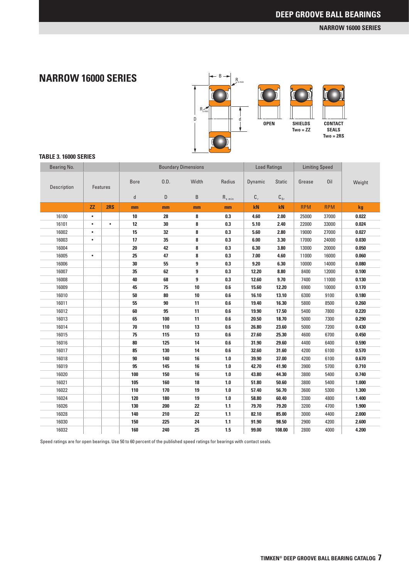#### **NARROW 16000 SERIES**

### **NARROW 16000 SERIES**



#### **TABLE 3. 16000 SERIES**

| <b>Bearing No.</b> |           |                 |             |      | <b>Boundary Dimensions</b> |                          | <b>Load Ratings</b> |               | <b>Limiting Speed</b> |            |        |
|--------------------|-----------|-----------------|-------------|------|----------------------------|--------------------------|---------------------|---------------|-----------------------|------------|--------|
| Description        |           | <b>Features</b> | <b>Bore</b> | 0.D. | Width                      | Radius                   | Dynamic             | <b>Static</b> | Grease                | Oil        | Weight |
|                    |           |                 | d           | D    | B                          | $R_{\,\mathrm{s}\,\min}$ | $C_r$               | $C_{0r}$      |                       |            |        |
|                    | ZZ        | 2RS             | mm          | mm   | mm                         | mm                       | kN                  | kN            | <b>RPM</b>            | <b>RPM</b> | kg     |
| 16100              | $\bullet$ |                 | 10          | 28   | 8                          | 0.3                      | 4.60                | 2.00          | 25000                 | 37000      | 0.022  |
| 16101              | $\bullet$ | $\bullet$       | 12          | 30   | 8                          | 0.3                      | 5.10                | 2.40          | 22000                 | 33000      | 0.024  |
| 16002              | $\bullet$ |                 | 15          | 32   | 8                          | 0.3                      | 5.60                | 2.80          | 19000                 | 27000      | 0.027  |
| 16003              | $\bullet$ |                 | 17          | 35   | 8                          | 0.3                      | 6.00                | 3.30          | 17000                 | 24000      | 0.030  |
| 16004              |           |                 | 20          | 42   | 8                          | 0.3                      | 6.30                | 3.80          | 13000                 | 20000      | 0.050  |
| 16005              | $\bullet$ |                 | 25          | 47   | 8                          | 0.3                      | 7.00                | 4.60          | 11000                 | 16000      | 0.060  |
| 16006              |           |                 | 30          | 55   | 9                          | 0.3                      | 9.20                | 6.30          | 10000                 | 14000      | 0.080  |
| 16007              |           |                 | 35          | 62   | $\boldsymbol{9}$           | 0.3                      | 12.20               | 8.80          | 8400                  | 12000      | 0.100  |
| 16008              |           |                 | 40          | 68   | $\overline{9}$             | 0.3                      | 12.60               | 9.70          | 7400                  | 11000      | 0.130  |
| 16009              |           |                 | 45          | 75   | 10                         | 0.6                      | 15.60               | 12.20         | 6900                  | 10000      | 0.170  |
| 16010              |           |                 | 50          | 80   | 10                         | 0.6                      | 16.10               | 13.10         | 6300                  | 9100       | 0.180  |
| 16011              |           |                 | 55          | 90   | 11                         | 0.6                      | 19.40               | 16.30         | 5800                  | 8500       | 0.260  |
| 16012              |           |                 | 60          | 95   | 11                         | 0.6                      | 19.90               | 17.50         | 5400                  | 7800       | 0.220  |
| 16013              |           |                 | 65          | 100  | 11                         | 0.6                      | 20.50               | 18.70         | 5000                  | 7300       | 0.290  |
| 16014              |           |                 | 70          | 110  | 13                         | 0.6                      | 26.80               | 23.60         | 5000                  | 7200       | 0.430  |
| 16015              |           |                 | 75          | 115  | 13                         | 0.6                      | 27.60               | 25.30         | 4600                  | 6700       | 0.450  |
| 16016              |           |                 | 80          | 125  | 14                         | 0.6                      | 31.90               | 29.60         | 4400                  | 6400       | 0.590  |
| 16017              |           |                 | 85          | 130  | 14                         | 0.6                      | 32.60               | 31.60         | 4200                  | 6100       | 0.570  |
| 16018              |           |                 | 90          | 140  | 16                         | 1.0                      | 39.90               | 37.00         | 4200                  | 6100       | 0.670  |
| 16019              |           |                 | 95          | 145  | 16                         | 1.0                      | 42.70               | 41.90         | 3900                  | 5700       | 0.710  |
| 16020              |           |                 | 100         | 150  | 16                         | 1.0                      | 43.80               | 44.30         | 3800                  | 5400       | 0.740  |
| 16021              |           |                 | 105         | 160  | 18                         | 1.0                      | 51.80               | 50.60         | 3800                  | 5400       | 1.000  |
| 16022              |           |                 | 110         | 170  | 19                         | 1.0                      | 57.40               | 56.70         | 3600                  | 5300       | 1.300  |
| 16024              |           |                 | 120         | 180  | 19                         | 1.0                      | 58.80               | 60.40         | 3300                  | 4800       | 1.400  |
| 16026              |           |                 | 130         | 200  | 22                         | $1.1$                    | 79.70               | 79.20         | 3200                  | 4700       | 1.900  |
| 16028              |           |                 | 140         | 210  | 22                         | $1.1$                    | 82.10               | 85.00         | 3000                  | 4400       | 2.000  |
| 16030              |           |                 | 150         | 225  | 24                         | 1.1                      | 91.90               | 98.50         | 2900                  | 4200       | 2.600  |
| 16032              |           |                 | 160         | 240  | 25                         | 1.5                      | 99.00               | 108.00        | 2800                  | 4000       | 4.200  |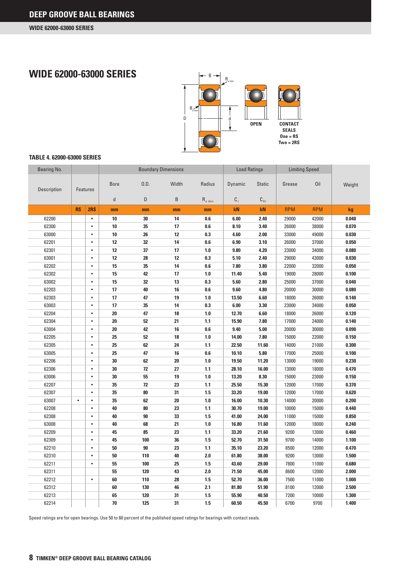### **WIDE 62000-63000 SERIES**



#### **TABLE 4. 62000-63000 SERIES**

| Bearing No. |           |                 |              |      | <b>Boundary Dimensions</b> |                                      | <b>Load Ratings</b> |               | <b>Limiting Speed</b> |            |        |
|-------------|-----------|-----------------|--------------|------|----------------------------|--------------------------------------|---------------------|---------------|-----------------------|------------|--------|
| Description |           | <b>Features</b> | <b>Bore</b>  | 0.D. | Width                      | Radius                               | Dynamic             | <b>Static</b> | Grease                | 0il        | Weight |
|             |           |                 | $\mathsf{d}$ | D    | B                          | $\mathsf{R}_{\, \mathrm{s} \, \min}$ | $C_r$               | $C_{0r}$      |                       |            |        |
|             | <b>RS</b> | 2RS             | mm           | mm   | mm                         | mm                                   | kN                  | kN            | <b>RPM</b>            | <b>RPM</b> | kg     |
| 62200       |           | $\bullet$       | 10           | 30   | 14                         | 0.6                                  | 6.00                | 2.40          | 29000                 | 42000      | 0.040  |
| 62300       |           | $\bullet$       | 10           | 35   | 17                         | 0.6                                  | 8.10                | 3.40          | 26000                 | 38000      | 0.070  |
| 63000       |           | $\bullet$       | 10           | 26   | 12                         | 0.3                                  | 4.60                | 2.00          | 33000                 | 49000      | 0.030  |
| 62201       |           | $\bullet$       | 12           | 32   | 14                         | 0.6                                  | 6.90                | 3.10          | 26000                 | 37000      | 0.050  |
| 62301       |           | $\bullet$       | 12           | 37   | 17                         | 1.0                                  | 9.80                | 4.20          | 23000                 | 34000      | 0.080  |
| 63001       |           | $\bullet$       | 12           | 28   | 12                         | 0.3                                  | 5.10                | 2.40          | 29000                 | 43000      | 0.030  |
| 62202       |           | $\bullet$       | 15           | 35   | 14                         | 0.6                                  | 7.80                | 3.80          | 22000                 | 32000      | 0.050  |
| 62302       |           | $\bullet$       | 15           | 42   | 17                         | 1.0                                  | 11.40               | 5.40          | 19000                 | 28000      | 0.100  |
| 63002       |           | $\bullet$       | 15           | 32   | 13                         | 0.3                                  | 5.60                | 2.80          | 25000                 | 37000      | 0.040  |
| 62203       |           | $\bullet$       | 17           | 40   | 16                         | 0.6                                  | 9.60                | 4.80          | 20000                 | 30000      | 0.080  |
| 62303       |           | $\bullet$       | 17           | 47   | 19                         | 1.0                                  | 13.50               | 6.60          | 18000                 | 26000      | 0.140  |
| 63003       |           | $\bullet$       | 17           | 35   | 14                         | 0.3                                  | 6.00                | 3.30          | 23000                 | 34000      | 0.050  |
| 62204       |           | $\bullet$       | 20           | 47   | 18                         | 1.0                                  | 12.70               | 6.60          | 18000                 | 26000      | 0.120  |
| 62304       |           | $\bullet$       | 20           | 52   | 21                         | $1.1$                                | 15.90               | 7.80          | 17000                 | 24000      | 0.140  |
| 63004       |           | $\bullet$       | 20           | 42   | 16                         | 0.6                                  | 9.40                | 5.00          | 20000                 | 30000      | 0.090  |
| 62205       |           | $\bullet$       | 25           | 52   | 18                         | 1.0                                  | 14.00               | 7.80          | 15000                 | 22000      | 0.150  |
| 62305       |           | $\bullet$       | 25           | 62   | 24                         | 1.1                                  | 22.50               | 11.60         | 14000                 | 21000      | 0.300  |
| 63005       |           | $\bullet$       | 25           | 47   | 16                         | 0.6                                  | 10.10               | 5.80          | 17000                 | 25000      | 0.100  |
| 62206       |           | $\bullet$       | 30           | 62   | 20                         | 1.0                                  | 19.50               | 11.20         | 13000                 | 19000      | 0.230  |
| 62306       |           | $\bullet$       | 30           | 72   | 27                         | 1.1                                  | 28.10               | 16.00         | 13000                 | 18000      | 0.470  |
| 63006       |           | $\bullet$       | 30           | 55   | 19                         | 1.0                                  | 13.20               | 8.30          | 15000                 | 23000      | 0.150  |
| 62207       |           | $\bullet$       | 35           | 72   | 23                         | 1.1                                  | 25.50               | 15.30         | 12000                 | 17000      | 0.370  |
| 62307       |           | $\bullet$       | 35           | 80   | 31                         | 1.5                                  | 33.20               | 19.00         | 12000                 | 17000      | 0.620  |
| 63007       | $\bullet$ | $\bullet$       | 35           | 62   | 20                         | 1.0                                  | 16.00               | 10.30         | 14000                 | 20000      | 0.200  |
| 62208       |           | $\bullet$       | 40           | 80   | 23                         | 1.1                                  | 30.70               | 19.00         | 10000                 | 15000      | 0.440  |
| 62308       |           | $\bullet$       | 40           | 90   | 33                         | 1.5                                  | 41.00               | 24.00         | 11000                 | 15000      | 0.850  |
| 63008       |           | $\bullet$       | 40           | 68   | 21                         | 1.0                                  | 16.80               | 11.60         | 12000                 | 18000      | 0.240  |
| 62209       |           | $\bullet$       | 45           | 85   | 23                         | 1.1                                  | 33.20               | 21.60         | 9200                  | 13000      | 0.460  |
| 62309       |           | $\bullet$       | 45           | 100  | 36                         | 1.5                                  | 52.70               | 31.50         | 9700                  | 14000      | 1.100  |
| 62210       |           | $\bullet$       | 50           | 90   | 23                         | $1.1$                                | 35.10               | 23.20         | 8500                  | 12000      | 0.470  |
| 62310       |           | $\bullet$       | 50           | 110  | 40                         | 2.0                                  | 61.80               | 38.00         | 9200                  | 13000      | 1.500  |
| 62211       |           | $\bullet$       | 55           | 100  | 25                         | 1.5                                  | 43.60               | 29.00         | 7800                  | 11000      | 0.680  |
| 62311       |           |                 | 55           | 120  | 43                         | 2.0                                  | 71.50               | 45.00         | 8600                  | 12000      | 2.000  |
| 62212       |           | $\bullet$       | 60           | 110  | 28                         | 1.5                                  | 52.70               | 36.00         | 7500                  | 11000      | 1.000  |
| 62312       |           |                 | 60           | 130  | 46                         | 2.1                                  | 81.80               | 51.90         | 8100                  | 12000      | 2.500  |
| 62213       |           |                 | 65           | 120  | 31                         | 1.5                                  | 55.90               | 40.50         | 7200                  | 10000      | 1.300  |
| 62214       |           |                 | 70           | 125  | 31                         | 1.5                                  | 60.50               | 45.50         | 6700                  | 9700       | 1.400  |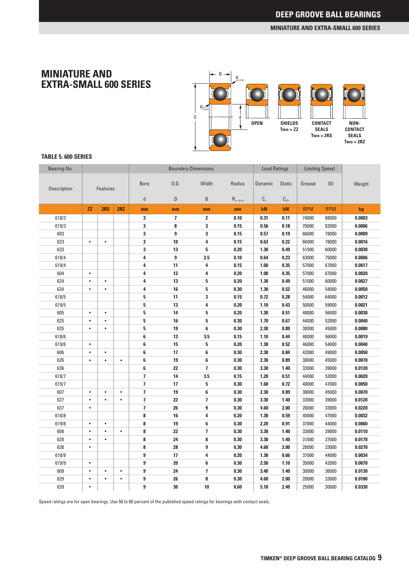#### **MINIATURE AND EXTRA-SMALL 600 SERIES**

### **MINIATURE AND EXTRA-SMALL 600 SERIES**



#### **TABLE 5. 600 SERIES**

| Bearing No. |           |                 |           |                         |                         | <b>Boundary Dimensions</b> |                                      | <b>Load Ratings</b> |               | <b>Limiting Speed</b> |            |        |
|-------------|-----------|-----------------|-----------|-------------------------|-------------------------|----------------------------|--------------------------------------|---------------------|---------------|-----------------------|------------|--------|
| Description |           | <b>Features</b> |           | <b>Bore</b>             | 0.D.                    | Width                      | Radius                               | Dynamic             | <b>Static</b> | Grease                | Oil        | Weight |
|             |           |                 |           | $\sf d$                 | D                       | B                          | $\mathsf{R}_{\, \mathrm{s} \, \min}$ | $\mathbf{C}_r$      | $C_{0r}$      |                       |            |        |
|             | <b>ZZ</b> | 2RS             | 2RZ       | mm                      | mm                      | mm                         | mm                                   | kN                  | kN            | <b>RPM</b>            | <b>RPM</b> | kg     |
| 618/3       |           |                 |           | 3                       | $\overline{\mathbf{z}}$ | $\mathbf{2}$               | 0.10                                 | 0.31                | 0.11          | 74000                 | 88000      | 0.0003 |
| 619/3       |           |                 |           | 3                       | 8                       | 3                          | 0.15                                 | 0.56                | 0.18          | 70000                 | 82000      | 0.0006 |
| 603         |           |                 |           | 3                       | 9                       | 3                          | 0.15                                 | 0.57                | 0.19          | 66000                 | 78000      | 0.0009 |
| 623         | $\bullet$ | $\bullet$       |           | 3                       | 10                      | 4                          | 0.15                                 | 0.63                | 0.22          | 66000                 | 78000      | 0.0016 |
| 633         |           |                 |           | 3                       | 13                      | 5                          | 0.20                                 | 1.30                | 0.49          | 51000                 | 60000      | 0.0030 |
| 618/4       |           |                 |           | 4                       | 9                       | 2.5                        | 0.10                                 | 0.64                | 0.23          | 63000                 | 75000      | 0.0006 |
| 619/4       |           |                 |           | 4                       | 11                      | 4                          | 0.15                                 | 1.00                | 0.35          | 57000                 | 67000      | 0.0017 |
| 604         | $\bullet$ |                 |           | 4                       | 12                      | 4                          | 0.20                                 | 1.00                | 0.35          | 57000                 | 67000      | 0.0020 |
| 624         | $\bullet$ | $\bullet$       |           | 4                       | 13                      | 5                          | 0.20                                 | 1.30                | 0.49          | 51000                 | 60000      | 0.0027 |
| 634         | $\bullet$ | $\bullet$       |           | 4                       | 16                      | 5                          | 0.30                                 | 1.30                | 0.52          | 46000                 | 54000      | 0.0050 |
| 618/5       |           |                 |           | 5                       | 11                      | 3                          | 0.15                                 | 0.72                | 0.28          | 54000                 | 64000      | 0.0012 |
| 619/5       |           |                 |           | 5                       | 13                      | 4                          | 0.20                                 | 1.10                | 0.43          | 50000                 | 59000      | 0.0021 |
| 605         | $\bullet$ | $\bullet$       |           | 5                       | 14                      | 5                          | 0.20                                 | 1.30                | 0.51          | 48000                 | 56000      | 0.0030 |
| 625         | $\bullet$ | $\bullet$       |           | 5                       | 16                      | 5                          | 0.30                                 | 1.70                | 0.67          | 44000                 | 52000      | 0.0040 |
| 635         | $\bullet$ | $\bullet$       |           | 5                       | 19                      | 6                          | 0.30                                 | 2.30                | 0.89          | 38000                 | 45000      | 0.0080 |
| 618/6       |           |                 |           | 6                       | 13                      | 3.5                        | 0.15                                 | 1.10                | 0.44          | 48000                 | 56000      | 0.0019 |
| 619/6       | $\bullet$ |                 |           | 6                       | 15                      | 5                          | 0.20                                 | 1.30                | 0.52          | 46000                 | 54000      | 0.0040 |
| 606         | $\bullet$ | $\bullet$       |           | 6                       | 17                      | 6                          | 0.30                                 | 2.30                | 0.84          | 42000                 | 49000      | 0.0050 |
| 626         | $\bullet$ | $\bullet$       | $\bullet$ | 6                       | 19                      | 6                          | 0.30                                 | 2.30                | 0.89          | 38000                 | 45000      | 0.0070 |
| 636         |           |                 |           | 6                       | 22                      | $\overline{1}$             | 0.30                                 | 3.30                | 1.40          | 33000                 | 39000      | 0.0120 |
| 618/7       |           |                 |           | $\overline{1}$          | 14                      | 3.5                        | 0.15                                 | 1.20                | 0.51          | 44000                 | 52000      | 0.0020 |
| 619/7       |           |                 |           | $\overline{1}$          | 17                      | 5                          | 0.30                                 | 1.60                | 0.72          | 40000                 | 47000      | 0.0050 |
| 607         | $\bullet$ | $\bullet$       | $\bullet$ | $\overline{\mathbf{z}}$ | 19                      | 6                          | 0.30                                 | 2.30                | 0.89          | 38000                 | 45000      | 0.0070 |
| 627         | $\bullet$ | $\bullet$       | $\bullet$ | $\overline{\mathbf{z}}$ | 22                      | $\overline{\mathbf{z}}$    | 0.30                                 | 3.30                | 1.40          | 33000                 | 39000      | 0.0120 |
| 637         | ٠         |                 |           | 7                       | 26                      | $\boldsymbol{9}$           | 0.30                                 | 4.60                | 2.00          | 28000                 | 33000      | 0.0220 |
| 618/8       |           |                 |           | 8                       | 16                      | 4                          | 0.20                                 | 1.30                | 0.59          | 40000                 | 47000      | 0.0032 |
| 619/8       | $\bullet$ | $\bullet$       |           | 8                       | 19                      | 6                          | 0.30                                 | 2.20                | 0.91          | 37000                 | 44000      | 0.0060 |
| 608         | $\bullet$ | $\bullet$       | $\bullet$ | 8                       | 22                      | $\overline{\phantom{a}}$   | 0.30                                 | 3.30                | 1.40          | 33000                 | 39000      | 0.0110 |
| 628         | $\bullet$ | $\bullet$       |           | 8                       | 24                      | 8                          | 0.30                                 | 3.30                | 1.40          | 31000                 | 37000      | 0.0170 |
| 638         | $\bullet$ |                 |           | 8                       | 28                      | $\boldsymbol{9}$           | 0.30                                 | 4.60                | 2.00          | 28000                 | 33000      | 0.0270 |
| 618/9       |           |                 |           | 9                       | 17                      | 4                          | 0.20                                 | 1.30                | 0.66          | 37000                 | 44000      | 0.0034 |
| 619/9       | $\bullet$ |                 |           | 9                       | 20                      | 6                          | 0.30                                 | 2.50                | 1.10          | 35000                 | 42000      | 0.0070 |
| 609         | $\bullet$ | $\bullet$       | $\bullet$ | 9                       | 24                      | $\overline{1}$             | 0.30                                 | 3.40                | 1.40          | 30000                 | 36000      | 0.0130 |
| 629         | $\bullet$ | $\bullet$       | $\bullet$ | 9                       | 26                      | 8                          | 0.30                                 | 4.60                | 2.00          | 28000                 | 33000      | 0.0180 |
| 639         | $\bullet$ |                 |           | 9                       | 30                      | 10                         | 0.60                                 | 5.10                | 2.40          | 25000                 | 30000      | 0.0330 |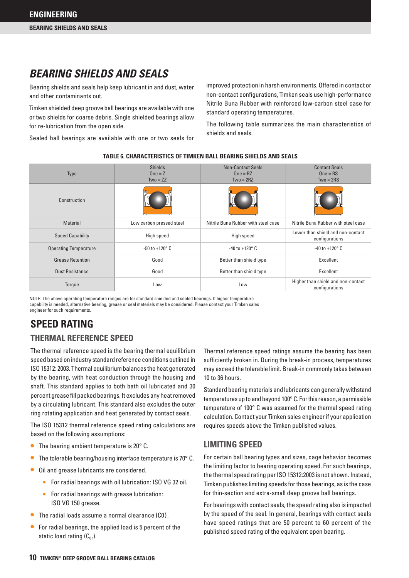### *BEARING SHIELDS AND SEALS*

Bearing shields and seals help keep lubricant in and dust, water and other contaminants out.

Timken shielded deep groove ball bearings are available with one or two shields for coarse debris. Single shielded bearings allow for re-lubrication from the open side.

Sealed ball bearings are available with one or two seals for

improved protection in harsh environments. Offered in contact or non-contact configurations, Timken seals use high-performance Nitrile Buna Rubber with reinforced low-carbon steel case for standard operating temperatures.

The following table summarizes the main characteristics of shields and seals.

**TABLE 6. CHARACTERISTICS OF TIMKEN BALL BEARING SHIELDS AND SEALS**

| <b>Type</b>                  | <b>Shields</b><br>$One = Z$<br>$Two = ZZ$ | <b>Non-Contact Seals</b><br>$One = RZ$<br>$Two = 2RZ$ | <b>Contact Seals</b><br>$One = RS$<br>$Two = 2RS$    |
|------------------------------|-------------------------------------------|-------------------------------------------------------|------------------------------------------------------|
| Construction                 |                                           |                                                       |                                                      |
| Material                     | Low carbon pressed steel                  | Nitrile Buna Rubber with steel case                   | Nitrile Buna Rubber with steel case                  |
| <b>Speed Capability</b>      | High speed                                | High speed                                            | Lower than shield and non-contact<br>configurations  |
| <b>Operating Temperature</b> | $-50$ to $+120^{\circ}$ C                 | $-40$ to $+120^{\circ}$ C                             | $-40$ to $+120^{\circ}$ C                            |
| <b>Grease Retention</b>      | Good                                      | Better than shield type                               | Excellent                                            |
| Dust Resistance              | Good                                      | Better than shield type                               | Excellent                                            |
| Torque                       | Low                                       | Low                                                   | Higher than shield and non-contact<br>configurations |

NOTE: The above operating temperature ranges are for standard shielded and sealed bearings. If higher temperature capability is needed, alternative bearing, grease or seal materials may be considered. Please contact your Timken sales engineer for such requirements.

### **SPEED RATING**

### **THERMAL REFERENCE SPEED**

The thermal reference speed is the bearing thermal equilibrium speed based on industry standard reference conditions outlined in ISO 15312: 2003. Thermal equilibrium balances the heat generated by the bearing, with heat conduction through the housing and shaft. This standard applies to both bath oil lubricated and 30 percent grease fill packed bearings. It excludes any heat removed by a circulating lubricant. This standard also excludes the outer ring rotating application and heat generated by contact seals.

The ISO 15312 thermal reference speed rating calculations are based on the following assumptions:

- The bearing ambient temperature is  $20^{\circ}$  C.
- The tolerable bearing/housing interface temperature is  $70^{\circ}$  C.
- Oil and grease lubricants are considered.
	- For radial bearings with oil lubrication: ISO VG 32 oil.
	- • For radial bearings with grease lubrication: ISO VG 150 grease.
- The radial loads assume a normal clearance (C0).
- $\bullet$  For radial bearings, the applied load is 5 percent of the static load rating  $(C_{0r})$ .

Thermal reference speed ratings assume the bearing has been sufficiently broken in. During the break-in process, temperatures may exceed the tolerable limit. Break-in commonly takes between 10 to 36 hours.

Standard bearing materials and lubricants can generally withstand temperatures up to and beyond 100° C. For this reason, a permissible temperature of 100° C was assumed for the thermal speed rating calculation. Contact your Timken sales engineer if your application requires speeds above the Timken published values.

#### **LIMITING SPEED**

For certain ball bearing types and sizes, cage behavior becomes the limiting factor to bearing operating speed. For such bearings, the thermal speed rating per ISO 15312:2003 is not shown. Instead, Timken publishes limiting speeds for those bearings, as is the case for thin-section and extra-small deep groove ball bearings.

For bearings with contact seals, the speed rating also is impacted by the speed of the seal. In general, bearings with contact seals have speed ratings that are 50 percent to 60 percent of the published speed rating of the equivalent open bearing.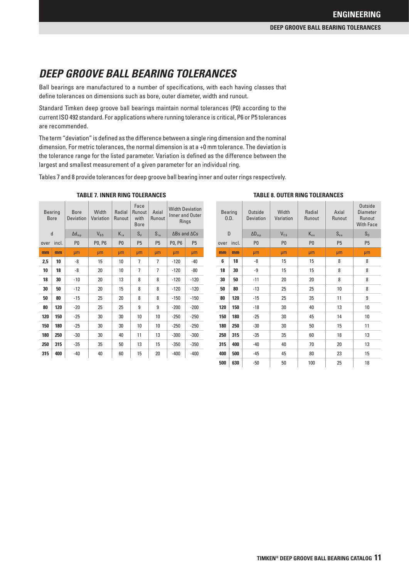## *DEEP GROOVE BALL BEARING TOLERANCES*

Ball bearings are manufactured to a number of specifications, with each having classes that define tolerances on dimensions such as bore, outer diameter, width and runout.

Standard Timken deep groove ball bearings maintain normal tolerances (P0) according to the current ISO 492 standard. For applications where running tolerance is critical, P6 or P5 tolerances are recommended.

The term "deviation" is defined as the difference between a single ring dimension and the nominal dimension. For metric tolerances, the normal dimension is at a +0 mm tolerance. The deviation is the tolerance range for the listed parameter. Variation is defined as the difference between the largest and smallest measurement of a given parameter for an individual ring.

Tables 7 and 8 provide tolerances for deep groove ball bearing inner and outer rings respectively.

|      | <b>Bearing</b><br><b>Bore</b> | <b>Bore</b><br><b>Deviation</b> | Width<br>Variation | Radial<br>Runout | Face<br>Runout<br>with<br><b>Bore</b> | Axial<br>Runout | <b>Width Deviation</b>            | Inner and Outer<br>Rings |  |  |  |  |  |
|------|-------------------------------|---------------------------------|--------------------|------------------|---------------------------------------|-----------------|-----------------------------------|--------------------------|--|--|--|--|--|
| d    |                               | $\Delta d_{\sf m0}$             | $V_{BS}$           | $K_{ia}$         | $S_{\rm d}$                           | $S_{ia}$        | $\triangle$ Bs and $\triangle$ Cs |                          |  |  |  |  |  |
| over | incl.                         | P <sub>0</sub>                  | P0, P6             | P <sub>0</sub>   | P <sub>5</sub>                        | P <sub>5</sub>  | P0, P6                            | P <sub>5</sub>           |  |  |  |  |  |
| mm   | mm                            | µm                              | µm                 | µm               | µm                                    | µm              | µm                                | µm                       |  |  |  |  |  |
| 2,5  | 10                            | -8                              | 15                 | 10               | 7                                     | 7               | $-120$                            | $-40$                    |  |  |  |  |  |
| 10   | 18                            | -8                              | 20                 | 10               | 7                                     | 7               | $-120$                            | -80                      |  |  |  |  |  |
| 18   | 30                            | $-10$                           | 20                 | 13               | 8                                     | 8               | $-120$                            | $-120$                   |  |  |  |  |  |
| 30   | 50                            | $-12$                           | 20                 | 15               | 8                                     | 8               | $-120$                            | $-120$                   |  |  |  |  |  |
| 50   | 80                            | $-15$                           | 25                 | 20               | 8                                     | 8               | $-150$                            | $-150$                   |  |  |  |  |  |
| 80   | 120                           | $-20$                           | 25                 | 25               | 9                                     | 9               | $-200$                            | $-200$                   |  |  |  |  |  |
| 120  | 150                           | $-25$                           | 30                 | 30               | 10                                    | 10              | $-250$                            | $-250$                   |  |  |  |  |  |
| 150  | 180                           | $-25$                           | 30                 | 30               | 10                                    | 10              | $-250$                            | $-250$                   |  |  |  |  |  |
| 180  | 250                           | $-30$                           | 30                 | 40               | 11                                    | 13              | $-300$                            | $-300$                   |  |  |  |  |  |
| 250  | 315                           | $-35$                           | 35                 | 50               | 13                                    | 15              | $-350$                            | $-350$                   |  |  |  |  |  |
| 315  | 400                           | $-40$                           | 40                 | 60               | 15                                    | 20              | $-400$                            | $-400$                   |  |  |  |  |  |

#### **TABLE 7. INNER RING TOLERANCES**

| <b>Bearing</b><br>0.D. |       | Outside<br><b>Deviation</b> | Width<br>Variation | Radial<br>Runout | Axial<br>Runout                     | Outside<br><b>Diameter</b><br>Runout<br><b>With Face</b> |
|------------------------|-------|-----------------------------|--------------------|------------------|-------------------------------------|----------------------------------------------------------|
| D                      |       | $\Delta D_{mp}$             | $V_{\text{c.s}}$   | $K_{\rm aa}$     | $S_{\scriptscriptstyle{\text{RA}}}$ | $S_{n}$                                                  |
| over                   | incl. | P <sub>0</sub>              | P <sub>0</sub>     | P <sub>0</sub>   | P <sub>5</sub>                      | P <sub>5</sub>                                           |
| mm                     | mm    | µm                          | <b>um</b>          | <b>um</b>        | µm                                  | µm                                                       |
| 6                      | 18    | -8                          | 15                 | 15               | 8                                   | 8                                                        |
| 18                     | 30    | -9                          | 15                 | 15               | 8                                   | 8                                                        |
| 30                     | 50    | $-11$                       | 20                 | 20               | 8                                   | 8                                                        |
| 50                     | 80    | $-13$                       | 25                 | 25               | 10                                  | 8                                                        |
| 80                     | 120   | $-15$                       | 25                 | 35               | 11                                  | 9                                                        |
| 120                    | 150   | $-18$                       | 30                 | 40               | 13                                  | 10                                                       |
| 150                    | 180   | $-25$                       | 30                 | 45               | 14                                  | 10                                                       |
| 180                    | 250   | $-30$                       | 30                 | 50               | 15                                  | 11                                                       |
| 250                    | 315   | $-35$                       | 35                 | 60               | 18                                  | 13                                                       |
| 315                    | 400   | $-40$                       | 40                 | 70               | 20                                  | 13                                                       |
| 400                    | 500   | $-45$                       | 45                 | 80               | 23                                  | 15                                                       |
| 500                    | 630   | $-50$                       | 50                 | 100              | 25                                  | 18                                                       |

#### **TABLE 8. OUTER RING TOLERANCES**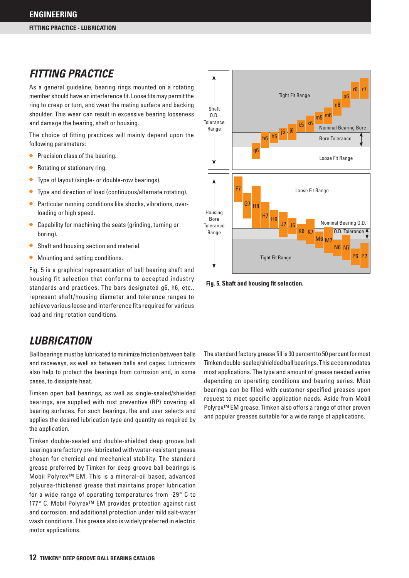### *FITTING PRACTICE*

As a general guideline, bearing rings mounted on a rotating member should have an interference fit. Loose fits may permit the ring to creep or turn, and wear the mating surface and backing shoulder. This wear can result in excessive bearing looseness and damage the bearing, shaft or housing.

The choice of fitting practices will mainly depend upon the following parameters:

- Precision class of the bearing.
- Rotating or stationary ring.
- Type of layout (single- or double-row bearings).
- • Type and direction of load (continuous/alternate rotating).
- Particular running conditions like shocks, vibrations, overloading or high speed.
- Capability for machining the seats (grinding, turning or boring).
- Shaft and housing section and material.
- Mounting and setting conditions.

Fig. 5 is a graphical representation of ball bearing shaft and housing fit selection that conforms to accepted industry standards and practices. The bars designated g6, h6, etc., represent shaft/housing diameter and tolerance ranges to achieve various loose and interference fits required for various load and ring rotation conditions.

### *LUBRICATION*

Ball bearings must be lubricated to minimize friction between balls and raceways, as well as between balls and cages. Lubricants also help to protect the bearings from corrosion and, in some cases, to dissipate heat.

Timken open ball bearings, as well as single-sealed/shielded bearings, are supplied with rust preventive (RP) covering all bearing surfaces. For such bearings, the end user selects and applies the desired lubrication type and quantity as required by the application.

Timken double-sealed and double-shielded deep groove ball bearings are factory pre-lubricated with water-resistant grease chosen for chemical and mechanical stability. The standard grease preferred by Timken for deep groove ball bearings is Mobil Polyrex™ EM. This is a mineral-oil based, advanced polyurea-thickened grease that maintains proper lubrication for a wide range of operating temperatures from -29° C to 177° C. Mobil Polyrex™ EM provides protection against rust and corrosion, and additional protection under mild salt-water wash conditions. This grease also is widely preferred in electric motor applications.



**Fig. 5. Shaft and housing fit selection.** 

The standard factory grease fill is 30 percent to 50 percent for most Timken double-sealed/shielded ball bearings. This accommodates most applications. The type and amount of grease needed varies depending on operating conditions and bearing series. Most bearings can be filled with customer-specified greases upon request to meet specific application needs. Aside from Mobil Polyrex™ EM grease, Timken also offers a range of other proven and popular greases suitable for a wide range of applications.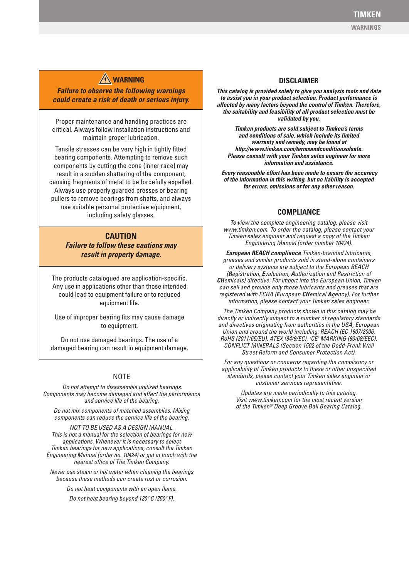### **WARNING DISCLAIMER**

*Failure to observe the following warnings could create a risk of death or serious injury.*

Proper maintenance and handling practices are critical. Always follow installation instructions and maintain proper lubrication.

Tensile stresses can be very high in tightly fitted bearing components. Attempting to remove such components by cutting the cone (inner race) may result in a sudden shattering of the component, causing fragments of metal to be forcefully expelled. Always use properly guarded presses or bearing pullers to remove bearings from shafts, and always use suitable personal protective equipment, including safety glasses.

#### **CAUTION**

*Failure to follow these cautions may result in property damage.*

The products catalogued are application-specific. Any use in applications other than those intended could lead to equipment failure or to reduced equipment life.

Use of improper bearing fits may cause damage to equipment.

Do not use damaged bearings. The use of a damaged bearing can result in equipment damage.

#### **NOTE**

 *Do not attempt to disassemble unitized bearings. Components may become damaged and affect the performance and service life of the bearing.*

*Do not mix components of matched assemblies. Mixing components can reduce the service life of the bearing.*

*NOT TO BE USED AS A DESIGN MANUAL. This is not a manual for the selection of bearings for new applications. Whenever it is necessary to select Timken bearings for new applications, consult the Timken Engineering Manual (order no. 10424) or get in touch with the nearest office of The Timken Company.*

*Never use steam or hot water when cleaning the bearings because these methods can create rust or corrosion.*

> *Do not heat components with an open flame. Do not heat bearing beyond 120º C (250º F).*

*This catalog is provided solely to give you analysis tools and data to assist you in your product selection. Product performance is affected by many factors beyond the control of Timken. Therefore, the suitability and feasibility of all product selection must be validated by you.* 

*Timken products are sold subject to Timken's terms and conditions of sale, which include its limited warranty and remedy, may be found at http://www.timken.com/termsandconditionsofsale. Please consult with your Timken sales engineer for more information and assistance.*

 *Every reasonable effort has been made to ensure the accuracy of the information in this writing, but no liability is accepted for errors, omissions or for any other reason.*

#### **COMPLIANCE**

*To view the complete engineering catalog, please visit www.timken.com. To order the catalog, please contact your Timken sales engineer and request a copy of the Timken Engineering Manual (order number 10424).*

*European REACH compliance Timken-branded lubricants, greases and similar products sold in stand-alone containers or delivery systems are subject to the European REACH (Registration, Evaluation, Authorization and Restriction of CHemicals) directive. For import into the European Union, Timken can sell and provide only those lubricants and greases that are registered with ECHA (European CHemical Agency). For further information, please contact your Timken sales engineer.*

 *The Timken Company products shown in this catalog may be directly or indirectly subject to a number of regulatory standards and directives originating from authorities in the USA, European Union and around the world including: REACH (EC 1907/2006, RoHS (2011/65/EU), ATEX (94/9/EC), 'CE' MARKING (93/68/EEC), CONFLICT MINERALS (Section 1502 of the Dodd-Frank Wall Street Reform and Consumer Protection Act).*

*For any questions or concerns regarding the compliancy or applicability of Timken products to these or other unspecified standards, please contact your Timken sales engineer or customer services representative.* 

*Updates are made periodically to this catalog. Visit www.timken.com for the most recent version of the Timken® Deep Groove Ball Bearing Catalog.*